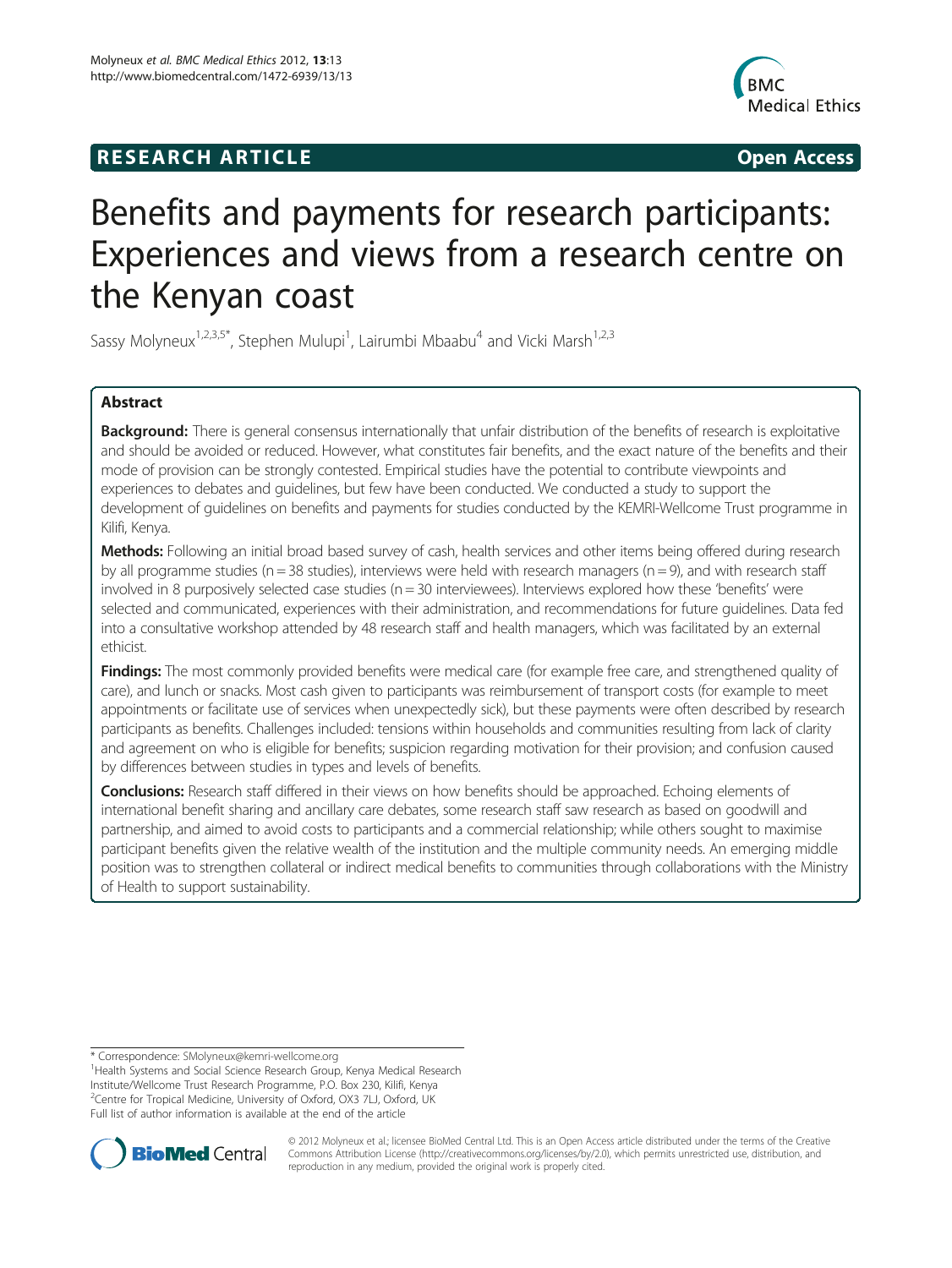# **RESEARCH ARTICLE Example 20 and 20 and 20 and 20 and 20 and 20 and 20 and 20 and 20 and 20 and 20 and 20 and 20 and 20 and 20 and 20 and 20 and 20 and 20 and 20 and 20 and 20 and 20 and 20 and 20 and 20 and 20 and 20 an**



# Benefits and payments for research participants: Experiences and views from a research centre on the Kenyan coast

Sassy Molyneux<sup>1,2,3,5\*</sup>, Stephen Mulupi<sup>1</sup>, Lairumbi Mbaabu<sup>4</sup> and Vicki Marsh<sup>1,2,3</sup>

# Abstract

Background: There is general consensus internationally that unfair distribution of the benefits of research is exploitative and should be avoided or reduced. However, what constitutes fair benefits, and the exact nature of the benefits and their mode of provision can be strongly contested. Empirical studies have the potential to contribute viewpoints and experiences to debates and guidelines, but few have been conducted. We conducted a study to support the development of guidelines on benefits and payments for studies conducted by the KEMRI-Wellcome Trust programme in Kilifi, Kenya.

Methods: Following an initial broad based survey of cash, health services and other items being offered during research by all programme studies ( $n = 38$  studies), interviews were held with research managers ( $n = 9$ ), and with research staff involved in 8 purposively selected case studies (n = 30 interviewees). Interviews explored how these 'benefits' were selected and communicated, experiences with their administration, and recommendations for future guidelines. Data fed into a consultative workshop attended by 48 research staff and health managers, which was facilitated by an external ethicist.

Findings: The most commonly provided benefits were medical care (for example free care, and strengthened quality of care), and lunch or snacks. Most cash given to participants was reimbursement of transport costs (for example to meet appointments or facilitate use of services when unexpectedly sick), but these payments were often described by research participants as benefits. Challenges included: tensions within households and communities resulting from lack of clarity and agreement on who is eligible for benefits; suspicion regarding motivation for their provision; and confusion caused by differences between studies in types and levels of benefits.

Conclusions: Research staff differed in their views on how benefits should be approached. Echoing elements of international benefit sharing and ancillary care debates, some research staff saw research as based on goodwill and partnership, and aimed to avoid costs to participants and a commercial relationship; while others sought to maximise participant benefits given the relative wealth of the institution and the multiple community needs. An emerging middle position was to strengthen collateral or indirect medical benefits to communities through collaborations with the Ministry of Health to support sustainability.

\* Correspondence: [SMolyneux@kemri-wellcome.org](mailto:SMolyneux@kemri-wellcome.org) <sup>1</sup>

<sup>&</sup>lt;sup>1</sup> Health Systems and Social Science Research Group, Kenya Medical Research Institute/Wellcome Trust Research Programme, P.O. Box 230, Kilifi, Kenya <sup>2</sup>Centre for Tropical Medicine, University of Oxford, OX3 7LJ, Oxford, UK Full list of author information is available at the end of the article



© 2012 Molyneux et al.; licensee BioMed Central Ltd. This is an Open Access article distributed under the terms of the Creative Commons Attribution License [\(http://creativecommons.org/licenses/by/2.0\)](http://creativecommons.org/licenses/by/2.0), which permits unrestricted use, distribution, and reproduction in any medium, provided the original work is properly cited.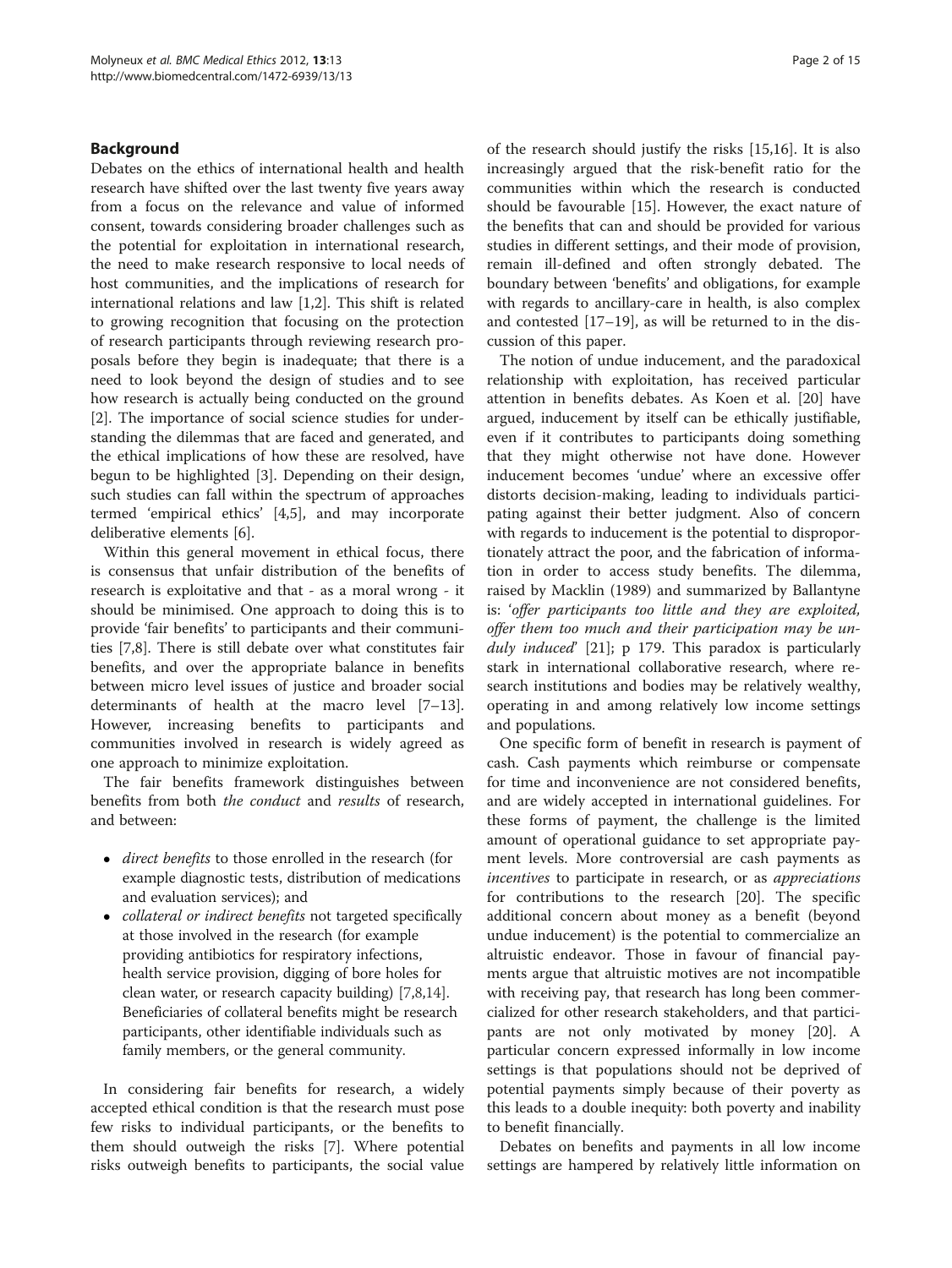#### Background

Debates on the ethics of international health and health research have shifted over the last twenty five years away from a focus on the relevance and value of informed consent, towards considering broader challenges such as the potential for exploitation in international research, the need to make research responsive to local needs of host communities, and the implications of research for international relations and law [[1,2\]](#page-13-0). This shift is related to growing recognition that focusing on the protection of research participants through reviewing research proposals before they begin is inadequate; that there is a need to look beyond the design of studies and to see how research is actually being conducted on the ground [[2\]](#page-13-0). The importance of social science studies for understanding the dilemmas that are faced and generated, and the ethical implications of how these are resolved, have begun to be highlighted [\[3](#page-13-0)]. Depending on their design, such studies can fall within the spectrum of approaches termed 'empirical ethics' [\[4,5](#page-13-0)], and may incorporate deliberative elements [\[6](#page-13-0)].

Within this general movement in ethical focus, there is consensus that unfair distribution of the benefits of research is exploitative and that - as a moral wrong - it should be minimised. One approach to doing this is to provide 'fair benefits' to participants and their communities [\[7,8](#page-13-0)]. There is still debate over what constitutes fair benefits, and over the appropriate balance in benefits between micro level issues of justice and broader social determinants of health at the macro level [[7](#page-13-0)–[13](#page-13-0)]. However, increasing benefits to participants and communities involved in research is widely agreed as one approach to minimize exploitation.

The fair benefits framework distinguishes between benefits from both the conduct and results of research, and between:

- *direct benefits* to those enrolled in the research (for example diagnostic tests, distribution of medications and evaluation services); and
- collateral or indirect benefits not targeted specifically at those involved in the research (for example providing antibiotics for respiratory infections, health service provision, digging of bore holes for clean water, or research capacity building) [[7](#page-13-0),[8](#page-13-0),[14](#page-13-0)]. Beneficiaries of collateral benefits might be research participants, other identifiable individuals such as family members, or the general community.

In considering fair benefits for research, a widely accepted ethical condition is that the research must pose few risks to individual participants, or the benefits to them should outweigh the risks [\[7](#page-13-0)]. Where potential risks outweigh benefits to participants, the social value of the research should justify the risks [[15,16\]](#page-13-0). It is also increasingly argued that the risk-benefit ratio for the communities within which the research is conducted should be favourable [\[15\]](#page-13-0). However, the exact nature of the benefits that can and should be provided for various studies in different settings, and their mode of provision, remain ill-defined and often strongly debated. The boundary between 'benefits' and obligations, for example with regards to ancillary-care in health, is also complex and contested [[17](#page-13-0)–[19](#page-13-0)], as will be returned to in the discussion of this paper.

The notion of undue inducement, and the paradoxical relationship with exploitation, has received particular attention in benefits debates. As Koen et al. [[20](#page-13-0)] have argued, inducement by itself can be ethically justifiable, even if it contributes to participants doing something that they might otherwise not have done. However inducement becomes 'undue' where an excessive offer distorts decision-making, leading to individuals participating against their better judgment. Also of concern with regards to inducement is the potential to disproportionately attract the poor, and the fabrication of information in order to access study benefits. The dilemma, raised by Macklin (1989) and summarized by Ballantyne is: 'offer participants too little and they are exploited, offer them too much and their participation may be un-duly induced' [\[21](#page-13-0)]; p 179. This paradox is particularly stark in international collaborative research, where research institutions and bodies may be relatively wealthy, operating in and among relatively low income settings and populations.

One specific form of benefit in research is payment of cash. Cash payments which reimburse or compensate for time and inconvenience are not considered benefits, and are widely accepted in international guidelines. For these forms of payment, the challenge is the limited amount of operational guidance to set appropriate payment levels. More controversial are cash payments as incentives to participate in research, or as appreciations for contributions to the research [\[20](#page-13-0)]. The specific additional concern about money as a benefit (beyond undue inducement) is the potential to commercialize an altruistic endeavor. Those in favour of financial payments argue that altruistic motives are not incompatible with receiving pay, that research has long been commercialized for other research stakeholders, and that participants are not only motivated by money [\[20](#page-13-0)]. A particular concern expressed informally in low income settings is that populations should not be deprived of potential payments simply because of their poverty as this leads to a double inequity: both poverty and inability to benefit financially.

Debates on benefits and payments in all low income settings are hampered by relatively little information on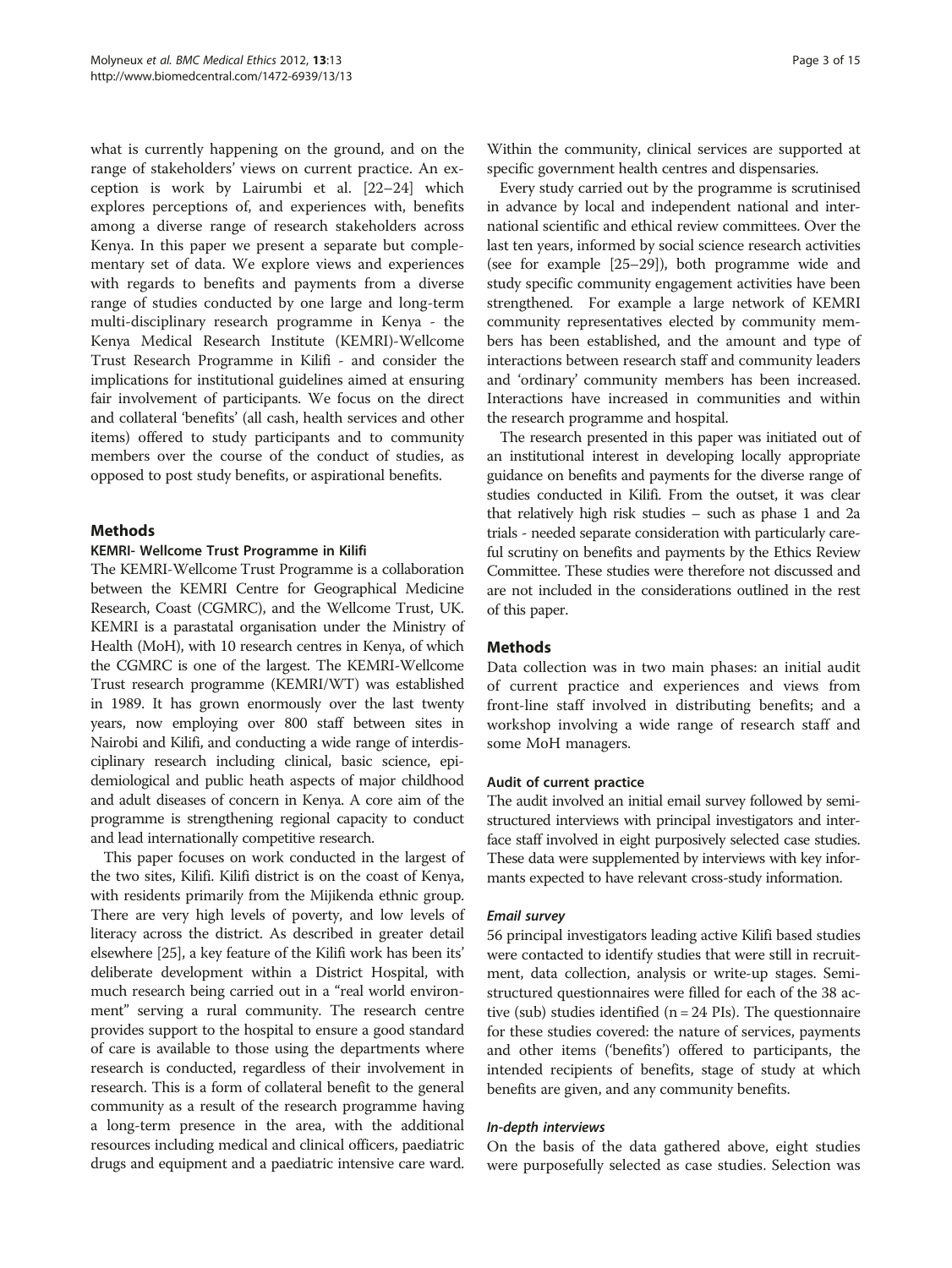what is currently happening on the ground, and on the range of stakeholders' views on current practice. An exception is work by Lairumbi et al. [\[22](#page-13-0)–[24\]](#page-13-0) which explores perceptions of, and experiences with, benefits among a diverse range of research stakeholders across Kenya. In this paper we present a separate but complementary set of data. We explore views and experiences with regards to benefits and payments from a diverse range of studies conducted by one large and long-term multi-disciplinary research programme in Kenya - the Kenya Medical Research Institute (KEMRI)-Wellcome Trust Research Programme in Kilifi - and consider the implications for institutional guidelines aimed at ensuring fair involvement of participants. We focus on the direct and collateral 'benefits' (all cash, health services and other items) offered to study participants and to community members over the course of the conduct of studies, as opposed to post study benefits, or aspirational benefits.

## Methods

#### KEMRI- Wellcome Trust Programme in Kilifi

The KEMRI-Wellcome Trust Programme is a collaboration between the KEMRI Centre for Geographical Medicine Research, Coast (CGMRC), and the Wellcome Trust, UK. KEMRI is a parastatal organisation under the Ministry of Health (MoH), with 10 research centres in Kenya, of which the CGMRC is one of the largest. The KEMRI-Wellcome Trust research programme (KEMRI/WT) was established in 1989. It has grown enormously over the last twenty years, now employing over 800 staff between sites in Nairobi and Kilifi, and conducting a wide range of interdisciplinary research including clinical, basic science, epidemiological and public heath aspects of major childhood and adult diseases of concern in Kenya. A core aim of the programme is strengthening regional capacity to conduct and lead internationally competitive research.

This paper focuses on work conducted in the largest of the two sites, Kilifi. Kilifi district is on the coast of Kenya, with residents primarily from the Mijikenda ethnic group. There are very high levels of poverty, and low levels of literacy across the district. As described in greater detail elsewhere [\[25\]](#page-13-0), a key feature of the Kilifi work has been its' deliberate development within a District Hospital, with much research being carried out in a "real world environment" serving a rural community. The research centre provides support to the hospital to ensure a good standard of care is available to those using the departments where research is conducted, regardless of their involvement in research. This is a form of collateral benefit to the general community as a result of the research programme having a long-term presence in the area, with the additional resources including medical and clinical officers, paediatric drugs and equipment and a paediatric intensive care ward.

Within the community, clinical services are supported at specific government health centres and dispensaries.

Every study carried out by the programme is scrutinised in advance by local and independent national and international scientific and ethical review committees. Over the last ten years, informed by social science research activities (see for example [[25](#page-13-0)–[29\]](#page-13-0)), both programme wide and study specific community engagement activities have been strengthened. For example a large network of KEMRI community representatives elected by community members has been established, and the amount and type of interactions between research staff and community leaders and 'ordinary' community members has been increased. Interactions have increased in communities and within the research programme and hospital.

The research presented in this paper was initiated out of an institutional interest in developing locally appropriate guidance on benefits and payments for the diverse range of studies conducted in Kilifi. From the outset, it was clear that relatively high risk studies – such as phase 1 and 2a trials - needed separate consideration with particularly careful scrutiny on benefits and payments by the Ethics Review Committee. These studies were therefore not discussed and are not included in the considerations outlined in the rest of this paper.

## **Mathods**

Data collection was in two main phases: an initial audit of current practice and experiences and views from front-line staff involved in distributing benefits; and a workshop involving a wide range of research staff and some MoH managers.

#### Audit of current practice

The audit involved an initial email survey followed by semistructured interviews with principal investigators and interface staff involved in eight purposively selected case studies. These data were supplemented by interviews with key informants expected to have relevant cross-study information.

#### Email survey

56 principal investigators leading active Kilifi based studies were contacted to identify studies that were still in recruitment, data collection, analysis or write-up stages. Semistructured questionnaires were filled for each of the 38 active (sub) studies identified (n = 24 PIs). The questionnaire for these studies covered: the nature of services, payments and other items ('benefits') offered to participants, the intended recipients of benefits, stage of study at which benefits are given, and any community benefits.

#### In-depth interviews

On the basis of the data gathered above, eight studies were purposefully selected as case studies. Selection was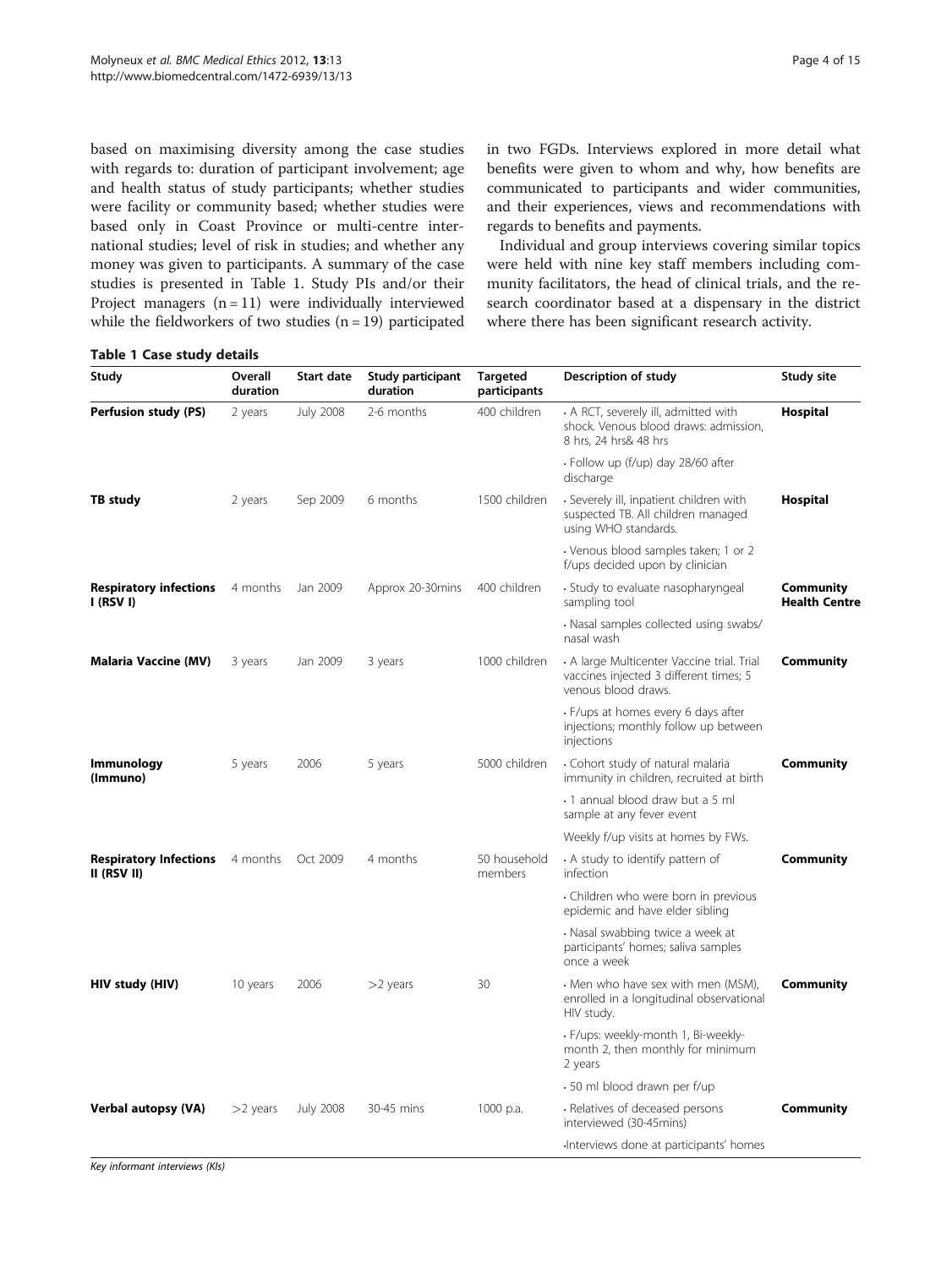based on maximising diversity among the case studies with regards to: duration of participant involvement; age and health status of study participants; whether studies were facility or community based; whether studies were based only in Coast Province or multi-centre international studies; level of risk in studies; and whether any money was given to participants. A summary of the case studies is presented in Table 1. Study PIs and/or their Project managers  $(n = 11)$  were individually interviewed while the fieldworkers of two studies  $(n = 19)$  participated in two FGDs. Interviews explored in more detail what benefits were given to whom and why, how benefits are communicated to participants and wider communities, and their experiences, views and recommendations with regards to benefits and payments.

Individual and group interviews covering similar topics were held with nine key staff members including community facilitators, the head of clinical trials, and the research coordinator based at a dispensary in the district where there has been significant research activity.

#### Table 1 Case study details

| Study                                        | Overall<br>duration | <b>Start date</b> | Study participant<br>duration | <b>Targeted</b><br>participants | Description of study                                                                                        | Study site                        |
|----------------------------------------------|---------------------|-------------------|-------------------------------|---------------------------------|-------------------------------------------------------------------------------------------------------------|-----------------------------------|
| <b>Perfusion study (PS)</b>                  | 2 years             | <b>July 2008</b>  | 2-6 months                    | 400 children                    | . A RCT, severely ill, admitted with<br>shock. Venous blood draws: admission,<br>8 hrs, 24 hrs& 48 hrs      | Hospital                          |
|                                              |                     |                   |                               |                                 | · Follow up (f/up) day 28/60 after<br>discharge                                                             |                                   |
| <b>TB</b> study                              | 2 years             | Sep 2009          | 6 months                      | 1500 children                   | · Severely ill, inpatient children with<br>suspected TB. All children managed<br>using WHO standards.       | Hospital                          |
|                                              |                     |                   |                               |                                 | · Venous blood samples taken; 1 or 2<br>f/ups decided upon by clinician                                     |                                   |
| <b>Respiratory infections</b><br>I (RSV I)   | 4 months            | Jan 2009          | Approx 20-30mins              | 400 children                    | · Study to evaluate nasopharyngeal<br>sampling tool                                                         | Community<br><b>Health Centre</b> |
|                                              |                     |                   |                               |                                 | · Nasal samples collected using swabs/<br>nasal wash                                                        |                                   |
| <b>Malaria Vaccine (MV)</b>                  | 3 years             | Jan 2009          | 3 years                       | 1000 children                   | . A large Multicenter Vaccine trial. Trial<br>vaccines injected 3 different times; 5<br>venous blood draws. | Community                         |
|                                              |                     |                   |                               |                                 | • F/ups at homes every 6 days after<br>injections; monthly follow up between<br>injections                  |                                   |
| <b>Immunology</b><br>(Immuno)                | 5 years             | 2006              | 5 years                       | 5000 children                   | · Cohort study of natural malaria<br>immunity in children, recruited at birth                               | Community                         |
|                                              |                     |                   |                               |                                 | . 1 annual blood draw but a 5 ml<br>sample at any fever event                                               |                                   |
|                                              |                     |                   |                               |                                 | Weekly f/up visits at homes by FWs.                                                                         |                                   |
| <b>Respiratory Infections</b><br>II (RSV II) | 4 months            | Oct 2009          | 4 months                      | 50 household<br>members         | . A study to identify pattern of<br>infection                                                               | Community                         |
|                                              |                     |                   |                               |                                 | · Children who were born in previous<br>epidemic and have elder sibling                                     |                                   |
|                                              |                     |                   |                               |                                 | • Nasal swabbing twice a week at<br>participants' homes; saliva samples<br>once a week                      |                                   |
| HIV study (HIV)                              | 10 years            | 2006              | $>2$ years                    | 30                              | • Men who have sex with men (MSM),<br>enrolled in a longitudinal observational<br>HIV study.                | Community                         |
|                                              |                     |                   |                               |                                 | · F/ups: weekly-month 1, Bi-weekly-<br>month 2, then monthly for minimum<br>2 years                         |                                   |
|                                              |                     |                   |                               |                                 | .50 ml blood drawn per f/up                                                                                 |                                   |
| Verbal autopsy (VA)                          | $>2$ years          | <b>July 2008</b>  | 30-45 mins                    | 1000 p.a.                       | · Relatives of deceased persons<br>interviewed (30-45mins)                                                  | Community                         |
|                                              |                     |                   |                               |                                 | Interviews done at participants' homes                                                                      |                                   |

Key informant interviews (KIs)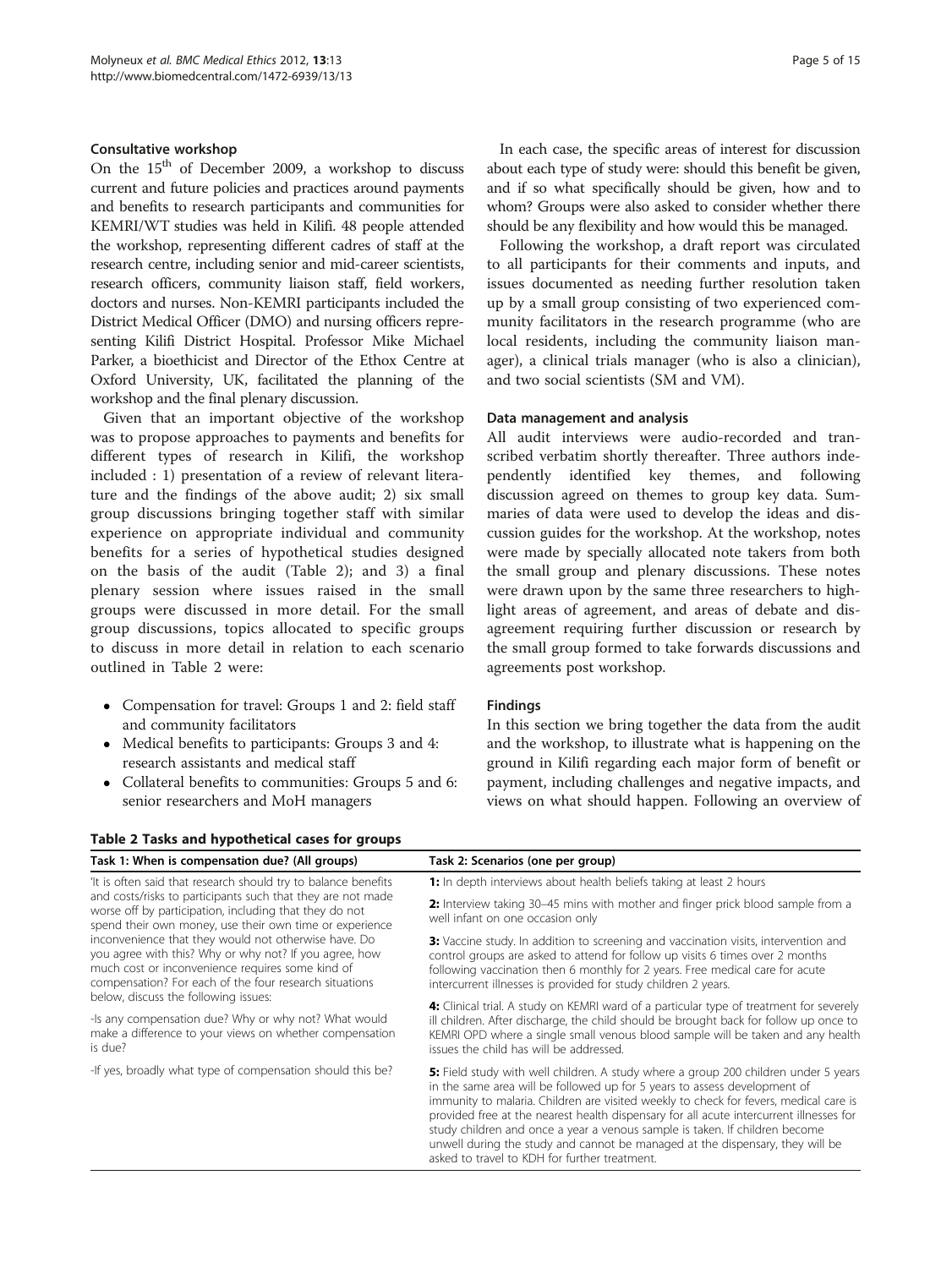# Consultative workshop

On the  $15<sup>th</sup>$  of December 2009, a workshop to discuss current and future policies and practices around payments and benefits to research participants and communities for KEMRI/WT studies was held in Kilifi. 48 people attended the workshop, representing different cadres of staff at the research centre, including senior and mid-career scientists, research officers, community liaison staff, field workers, doctors and nurses. Non-KEMRI participants included the District Medical Officer (DMO) and nursing officers representing Kilifi District Hospital. Professor Mike Michael Parker, a bioethicist and Director of the Ethox Centre at Oxford University, UK, facilitated the planning of the workshop and the final plenary discussion.

Given that an important objective of the workshop was to propose approaches to payments and benefits for different types of research in Kilifi, the workshop included : 1) presentation of a review of relevant literature and the findings of the above audit; 2) six small group discussions bringing together staff with similar experience on appropriate individual and community benefits for a series of hypothetical studies designed on the basis of the audit (Table 2); and 3) a final plenary session where issues raised in the small groups were discussed in more detail. For the small group discussions, topics allocated to specific groups to discuss in more detail in relation to each scenario outlined in Table 2 were:

- Compensation for travel: Groups 1 and 2: field staff and community facilitators
- Medical benefits to participants: Groups 3 and 4: research assistants and medical staff
- Collateral benefits to communities: Groups 5 and 6: senior researchers and MoH managers

In each case, the specific areas of interest for discussion about each type of study were: should this benefit be given, and if so what specifically should be given, how and to whom? Groups were also asked to consider whether there should be any flexibility and how would this be managed.

Following the workshop, a draft report was circulated to all participants for their comments and inputs, and issues documented as needing further resolution taken up by a small group consisting of two experienced community facilitators in the research programme (who are local residents, including the community liaison manager), a clinical trials manager (who is also a clinician), and two social scientists (SM and VM).

#### Data management and analysis

All audit interviews were audio-recorded and transcribed verbatim shortly thereafter. Three authors independently identified key themes, and following discussion agreed on themes to group key data. Summaries of data were used to develop the ideas and discussion guides for the workshop. At the workshop, notes were made by specially allocated note takers from both the small group and plenary discussions. These notes were drawn upon by the same three researchers to highlight areas of agreement, and areas of debate and disagreement requiring further discussion or research by the small group formed to take forwards discussions and agreements post workshop.

#### Findings

In this section we bring together the data from the audit and the workshop, to illustrate what is happening on the ground in Kilifi regarding each major form of benefit or payment, including challenges and negative impacts, and views on what should happen. Following an overview of

| Task 1: When is compensation due? (All groups)                                                                                                                                                                               | Task 2: Scenarios (one per group)                                                                                                                                                                                                                                                                                                                                                                                                                                                                                                                                     |  |  |  |  |
|------------------------------------------------------------------------------------------------------------------------------------------------------------------------------------------------------------------------------|-----------------------------------------------------------------------------------------------------------------------------------------------------------------------------------------------------------------------------------------------------------------------------------------------------------------------------------------------------------------------------------------------------------------------------------------------------------------------------------------------------------------------------------------------------------------------|--|--|--|--|
| 'It is often said that research should try to balance benefits                                                                                                                                                               | 1: In depth interviews about health beliefs taking at least 2 hours                                                                                                                                                                                                                                                                                                                                                                                                                                                                                                   |  |  |  |  |
| and costs/risks to participants such that they are not made<br>worse off by participation, including that they do not<br>spend their own money, use their own time or experience                                             | 2: Interview taking 30-45 mins with mother and finger prick blood sample from a<br>well infant on one occasion only                                                                                                                                                                                                                                                                                                                                                                                                                                                   |  |  |  |  |
| inconvenience that they would not otherwise have. Do<br>you agree with this? Why or why not? If you agree, how<br>much cost or inconvenience requires some kind of<br>compensation? For each of the four research situations | 3: Vaccine study. In addition to screening and vaccination visits, intervention and<br>control groups are asked to attend for follow up visits 6 times over 2 months<br>following vaccination then 6 monthly for 2 years. Free medical care for acute<br>intercurrent illnesses is provided for study children 2 years.                                                                                                                                                                                                                                               |  |  |  |  |
| below, discuss the following issues:<br>-Is any compensation due? Why or why not? What would<br>make a difference to your views on whether compensation<br>is due?                                                           | 4: Clinical trial. A study on KEMRI ward of a particular type of treatment for severely<br>ill children. After discharge, the child should be brought back for follow up once to<br>KEMRI OPD where a single small venous blood sample will be taken and any health<br>issues the child has will be addressed.                                                                                                                                                                                                                                                        |  |  |  |  |
| -If yes, broadly what type of compensation should this be?                                                                                                                                                                   | 5: Field study with well children. A study where a group 200 children under 5 years<br>in the same area will be followed up for 5 years to assess development of<br>immunity to malaria. Children are visited weekly to check for fevers, medical care is<br>provided free at the nearest health dispensary for all acute intercurrent illnesses for<br>study children and once a year a venous sample is taken. If children become<br>unwell during the study and cannot be managed at the dispensary, they will be<br>asked to travel to KDH for further treatment. |  |  |  |  |

# Table 2 Tasks and hypothetical cases for groups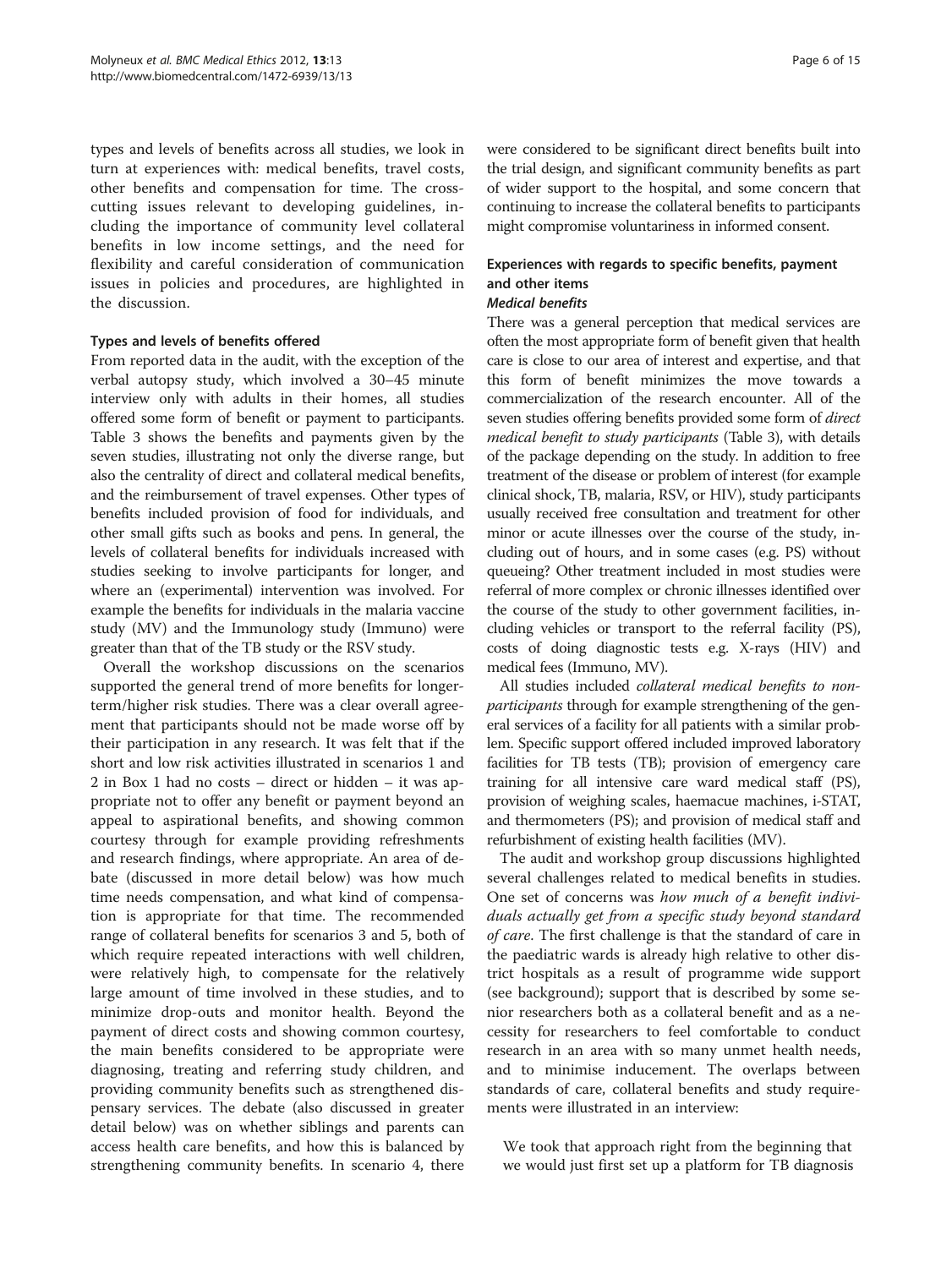types and levels of benefits across all studies, we look in turn at experiences with: medical benefits, travel costs, other benefits and compensation for time. The crosscutting issues relevant to developing guidelines, including the importance of community level collateral benefits in low income settings, and the need for flexibility and careful consideration of communication issues in policies and procedures, are highlighted in the discussion.

#### Types and levels of benefits offered

From reported data in the audit, with the exception of the verbal autopsy study, which involved a 30–45 minute interview only with adults in their homes, all studies offered some form of benefit or payment to participants. Table [3](#page-6-0) shows the benefits and payments given by the seven studies, illustrating not only the diverse range, but also the centrality of direct and collateral medical benefits, and the reimbursement of travel expenses. Other types of benefits included provision of food for individuals, and other small gifts such as books and pens. In general, the levels of collateral benefits for individuals increased with studies seeking to involve participants for longer, and where an (experimental) intervention was involved. For example the benefits for individuals in the malaria vaccine study (MV) and the Immunology study (Immuno) were greater than that of the TB study or the RSV study.

Overall the workshop discussions on the scenarios supported the general trend of more benefits for longerterm/higher risk studies. There was a clear overall agreement that participants should not be made worse off by their participation in any research. It was felt that if the short and low risk activities illustrated in scenarios 1 and 2 in Box 1 had no costs – direct or hidden – it was appropriate not to offer any benefit or payment beyond an appeal to aspirational benefits, and showing common courtesy through for example providing refreshments and research findings, where appropriate. An area of debate (discussed in more detail below) was how much time needs compensation, and what kind of compensation is appropriate for that time. The recommended range of collateral benefits for scenarios 3 and 5, both of which require repeated interactions with well children, were relatively high, to compensate for the relatively large amount of time involved in these studies, and to minimize drop-outs and monitor health. Beyond the payment of direct costs and showing common courtesy, the main benefits considered to be appropriate were diagnosing, treating and referring study children, and providing community benefits such as strengthened dispensary services. The debate (also discussed in greater detail below) was on whether siblings and parents can access health care benefits, and how this is balanced by strengthening community benefits. In scenario 4, there

were considered to be significant direct benefits built into the trial design, and significant community benefits as part of wider support to the hospital, and some concern that continuing to increase the collateral benefits to participants might compromise voluntariness in informed consent.

# Experiences with regards to specific benefits, payment and other items

## Medical benefits

There was a general perception that medical services are often the most appropriate form of benefit given that health care is close to our area of interest and expertise, and that this form of benefit minimizes the move towards a commercialization of the research encounter. All of the seven studies offering benefits provided some form of direct medical benefit to study participants (Table [3](#page-6-0)), with details of the package depending on the study. In addition to free treatment of the disease or problem of interest (for example clinical shock, TB, malaria, RSV, or HIV), study participants usually received free consultation and treatment for other minor or acute illnesses over the course of the study, including out of hours, and in some cases (e.g. PS) without queueing? Other treatment included in most studies were referral of more complex or chronic illnesses identified over the course of the study to other government facilities, including vehicles or transport to the referral facility (PS), costs of doing diagnostic tests e.g. X-rays (HIV) and medical fees (Immuno, MV).

All studies included collateral medical benefits to nonparticipants through for example strengthening of the general services of a facility for all patients with a similar problem. Specific support offered included improved laboratory facilities for TB tests (TB); provision of emergency care training for all intensive care ward medical staff (PS), provision of weighing scales, haemacue machines, i-STAT, and thermometers (PS); and provision of medical staff and refurbishment of existing health facilities (MV).

The audit and workshop group discussions highlighted several challenges related to medical benefits in studies. One set of concerns was how much of a benefit individuals actually get from a specific study beyond standard of care. The first challenge is that the standard of care in the paediatric wards is already high relative to other district hospitals as a result of programme wide support (see background); support that is described by some senior researchers both as a collateral benefit and as a necessity for researchers to feel comfortable to conduct research in an area with so many unmet health needs, and to minimise inducement. The overlaps between standards of care, collateral benefits and study requirements were illustrated in an interview:

We took that approach right from the beginning that we would just first set up a platform for TB diagnosis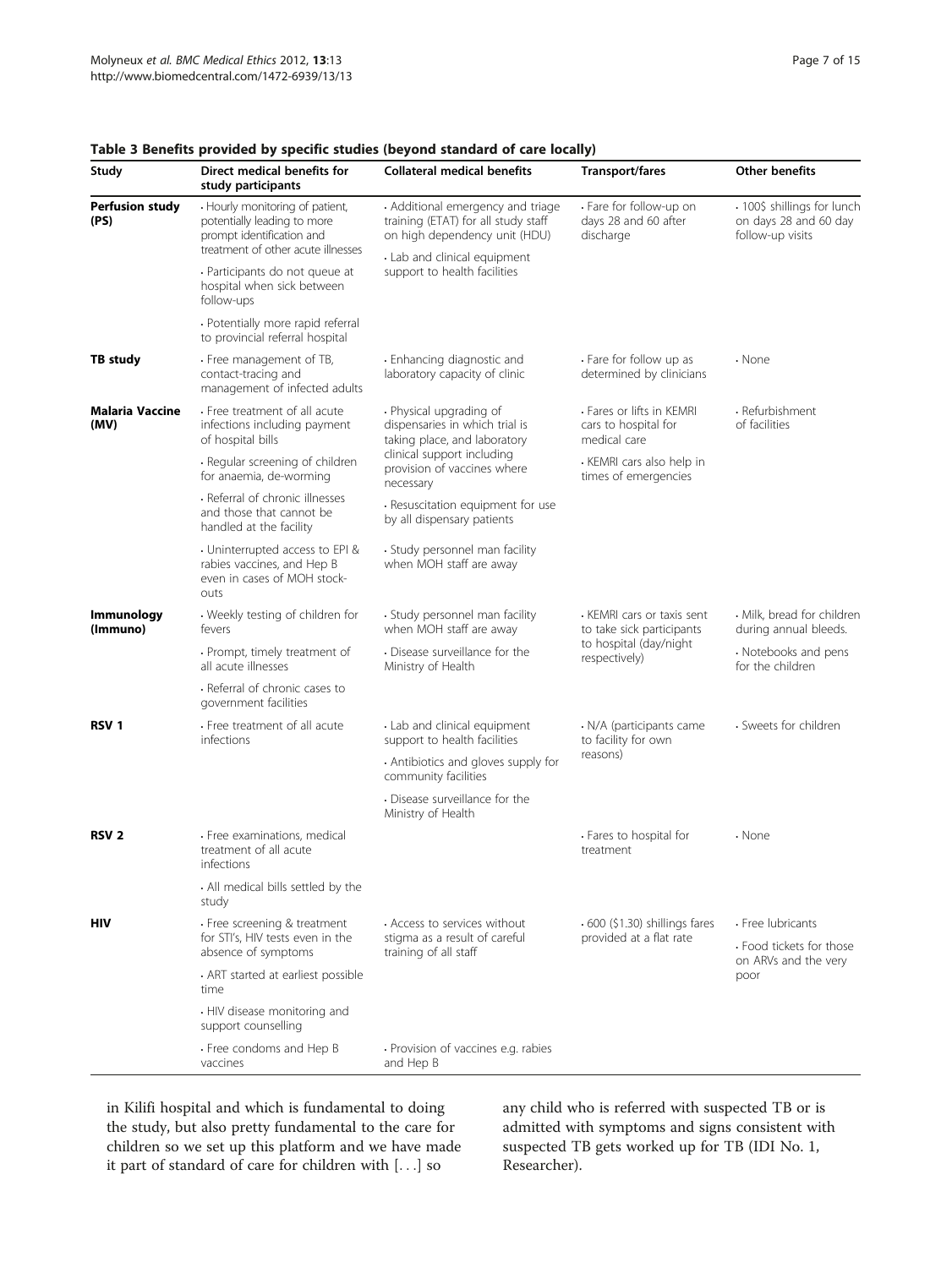| Study                          | Direct medical benefits for<br>study participants                                                                                 | <b>Collateral medical benefits</b>                                                                        | <b>Transport/fares</b>                                                                             | <b>Other benefits</b>                                                         |
|--------------------------------|-----------------------------------------------------------------------------------------------------------------------------------|-----------------------------------------------------------------------------------------------------------|----------------------------------------------------------------------------------------------------|-------------------------------------------------------------------------------|
| <b>Perfusion study</b><br>(PS) | . Hourly monitoring of patient,<br>potentially leading to more<br>prompt identification and<br>treatment of other acute illnesses | · Additional emergency and triage<br>training (ETAT) for all study staff<br>on high dependency unit (HDU) | · Fare for follow-up on<br>days 28 and 60 after<br>discharge                                       | · 100\$ shillings for lunch<br>on days 28 and 60 day<br>follow-up visits      |
|                                | · Participants do not queue at<br>hospital when sick between<br>follow-ups                                                        | Lab and clinical equipment<br>support to health facilities                                                |                                                                                                    |                                                                               |
|                                | · Potentially more rapid referral<br>to provincial referral hospital                                                              |                                                                                                           |                                                                                                    |                                                                               |
| <b>TB</b> study                | Free management of TB,<br>contact-tracing and<br>management of infected adults                                                    | · Enhancing diagnostic and<br>laboratory capacity of clinic                                               | . Fare for follow up as<br>determined by clinicians                                                | · None                                                                        |
| <b>Malaria Vaccine</b><br>(MV) | · Free treatment of all acute<br>infections including payment<br>of hospital bills                                                | . Physical upgrading of<br>dispensaries in which trial is<br>taking place, and laboratory                 | · Fares or lifts in KEMRI<br>cars to hospital for<br>medical care                                  | · Refurbishment<br>of facilities                                              |
|                                | · Regular screening of children<br>for anaemia, de-worming                                                                        | clinical support including<br>provision of vaccines where<br>necessary                                    | . KEMRI cars also help in<br>times of emergencies                                                  |                                                                               |
|                                | · Referral of chronic illnesses<br>and those that cannot be<br>handled at the facility                                            | · Resuscitation equipment for use<br>by all dispensary patients                                           |                                                                                                    |                                                                               |
|                                | · Uninterrupted access to EPI &<br>rabies vaccines, and Hep B<br>even in cases of MOH stock-<br>outs                              | · Study personnel man facility<br>when MOH staff are away                                                 |                                                                                                    |                                                                               |
| <b>Immunology</b><br>(Immuno)  | · Weekly testing of children for<br>fevers                                                                                        | · Study personnel man facility<br>when MOH staff are away                                                 | . KEMRI cars or taxis sent<br>to take sick participants<br>to hospital (day/night<br>respectively) | Milk, bread for children<br>during annual bleeds.                             |
|                                | Prompt, timely treatment of<br>all acute illnesses                                                                                | • Disease surveillance for the<br>Ministry of Health                                                      |                                                                                                    | • Notebooks and pens<br>for the children                                      |
|                                | · Referral of chronic cases to<br>government facilities                                                                           |                                                                                                           |                                                                                                    |                                                                               |
| RSV <sub>1</sub>               | · Free treatment of all acute<br>infections                                                                                       | Lab and clinical equipment<br>support to health facilities                                                | · N/A (participants came<br>to facility for own                                                    | · Sweets for children                                                         |
|                                |                                                                                                                                   | . Antibiotics and gloves supply for<br>community facilities                                               | reasons)                                                                                           |                                                                               |
|                                |                                                                                                                                   | • Disease surveillance for the<br>Ministry of Health                                                      |                                                                                                    |                                                                               |
| RSV <sub>2</sub>               | · Free examinations, medical<br>treatment of all acute<br>infections                                                              |                                                                                                           | . Fares to hospital for<br>treatment                                                               | · None                                                                        |
|                                | . All medical bills settled by the<br>study                                                                                       |                                                                                                           |                                                                                                    |                                                                               |
| HIV                            | · Free screening & treatment<br>for STI's, HIV tests even in the<br>absence of symptoms                                           | Access to services without<br>stigma as a result of careful<br>training of all staff                      | $.600$ (\$1.30) shillings fares<br>provided at a flat rate                                         | · Free lubricants<br>· Food tickets for those<br>on ARVs and the very<br>poor |
|                                | . ART started at earliest possible<br>time                                                                                        |                                                                                                           |                                                                                                    |                                                                               |
|                                | . HIV disease monitoring and<br>support counselling                                                                               |                                                                                                           |                                                                                                    |                                                                               |
|                                | · Free condoms and Hep B<br>vaccines                                                                                              | · Provision of vaccines e.g. rabies<br>and Hep B                                                          |                                                                                                    |                                                                               |

## <span id="page-6-0"></span>Table 3 Benefits provided by specific studies (beyond standard of care locally)

in Kilifi hospital and which is fundamental to doing the study, but also pretty fundamental to the care for children so we set up this platform and we have made it part of standard of care for children with [...] so

any child who is referred with suspected TB or is admitted with symptoms and signs consistent with suspected TB gets worked up for TB (IDI No. 1, Researcher).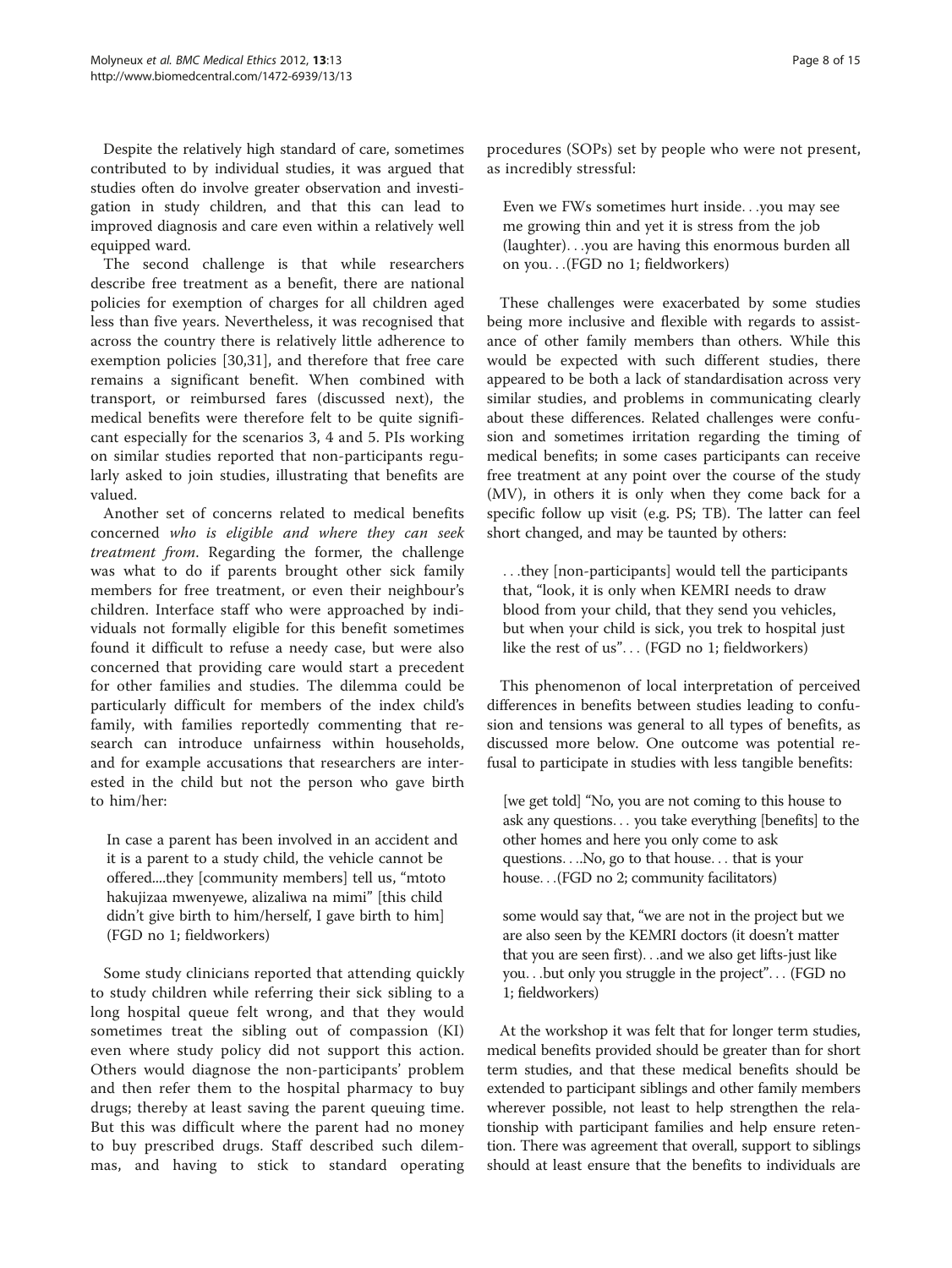Despite the relatively high standard of care, sometimes contributed to by individual studies, it was argued that studies often do involve greater observation and investigation in study children, and that this can lead to improved diagnosis and care even within a relatively well equipped ward.

The second challenge is that while researchers describe free treatment as a benefit, there are national policies for exemption of charges for all children aged less than five years. Nevertheless, it was recognised that across the country there is relatively little adherence to exemption policies [\[30](#page-14-0),[31\]](#page-14-0), and therefore that free care remains a significant benefit. When combined with transport, or reimbursed fares (discussed next), the medical benefits were therefore felt to be quite significant especially for the scenarios 3, 4 and 5. PIs working on similar studies reported that non-participants regularly asked to join studies, illustrating that benefits are valued.

Another set of concerns related to medical benefits concerned who is eligible and where they can seek treatment from. Regarding the former, the challenge was what to do if parents brought other sick family members for free treatment, or even their neighbour's children. Interface staff who were approached by individuals not formally eligible for this benefit sometimes found it difficult to refuse a needy case, but were also concerned that providing care would start a precedent for other families and studies. The dilemma could be particularly difficult for members of the index child's family, with families reportedly commenting that research can introduce unfairness within households, and for example accusations that researchers are interested in the child but not the person who gave birth to him/her:

In case a parent has been involved in an accident and it is a parent to a study child, the vehicle cannot be offered....they [community members] tell us, "mtoto hakujizaa mwenyewe, alizaliwa na mimi" [this child didn't give birth to him/herself, I gave birth to him] (FGD no 1; fieldworkers)

Some study clinicians reported that attending quickly to study children while referring their sick sibling to a long hospital queue felt wrong, and that they would sometimes treat the sibling out of compassion (KI) even where study policy did not support this action. Others would diagnose the non-participants' problem and then refer them to the hospital pharmacy to buy drugs; thereby at least saving the parent queuing time. But this was difficult where the parent had no money to buy prescribed drugs. Staff described such dilemmas, and having to stick to standard operating procedures (SOPs) set by people who were not present, as incredibly stressful:

Even we FWs sometimes hurt inside...you may see me growing thin and yet it is stress from the job (laughter)...you are having this enormous burden all on you...(FGD no 1; fieldworkers)

These challenges were exacerbated by some studies being more inclusive and flexible with regards to assistance of other family members than others. While this would be expected with such different studies, there appeared to be both a lack of standardisation across very similar studies, and problems in communicating clearly about these differences. Related challenges were confusion and sometimes irritation regarding the timing of medical benefits; in some cases participants can receive free treatment at any point over the course of the study (MV), in others it is only when they come back for a specific follow up visit (e.g. PS; TB). The latter can feel short changed, and may be taunted by others:

...they [non-participants] would tell the participants that, "look, it is only when KEMRI needs to draw blood from your child, that they send you vehicles, but when your child is sick, you trek to hospital just like the rest of us"... (FGD no 1; fieldworkers)

This phenomenon of local interpretation of perceived differences in benefits between studies leading to confusion and tensions was general to all types of benefits, as discussed more below. One outcome was potential refusal to participate in studies with less tangible benefits:

[we get told] "No, you are not coming to this house to ask any questions... you take everything [benefits] to the other homes and here you only come to ask questions....No, go to that house... that is your house...(FGD no 2; community facilitators)

some would say that, "we are not in the project but we are also seen by the KEMRI doctors (it doesn't matter that you are seen first)...and we also get lifts-just like you...but only you struggle in the project"... (FGD no 1; fieldworkers)

At the workshop it was felt that for longer term studies, medical benefits provided should be greater than for short term studies, and that these medical benefits should be extended to participant siblings and other family members wherever possible, not least to help strengthen the relationship with participant families and help ensure retention. There was agreement that overall, support to siblings should at least ensure that the benefits to individuals are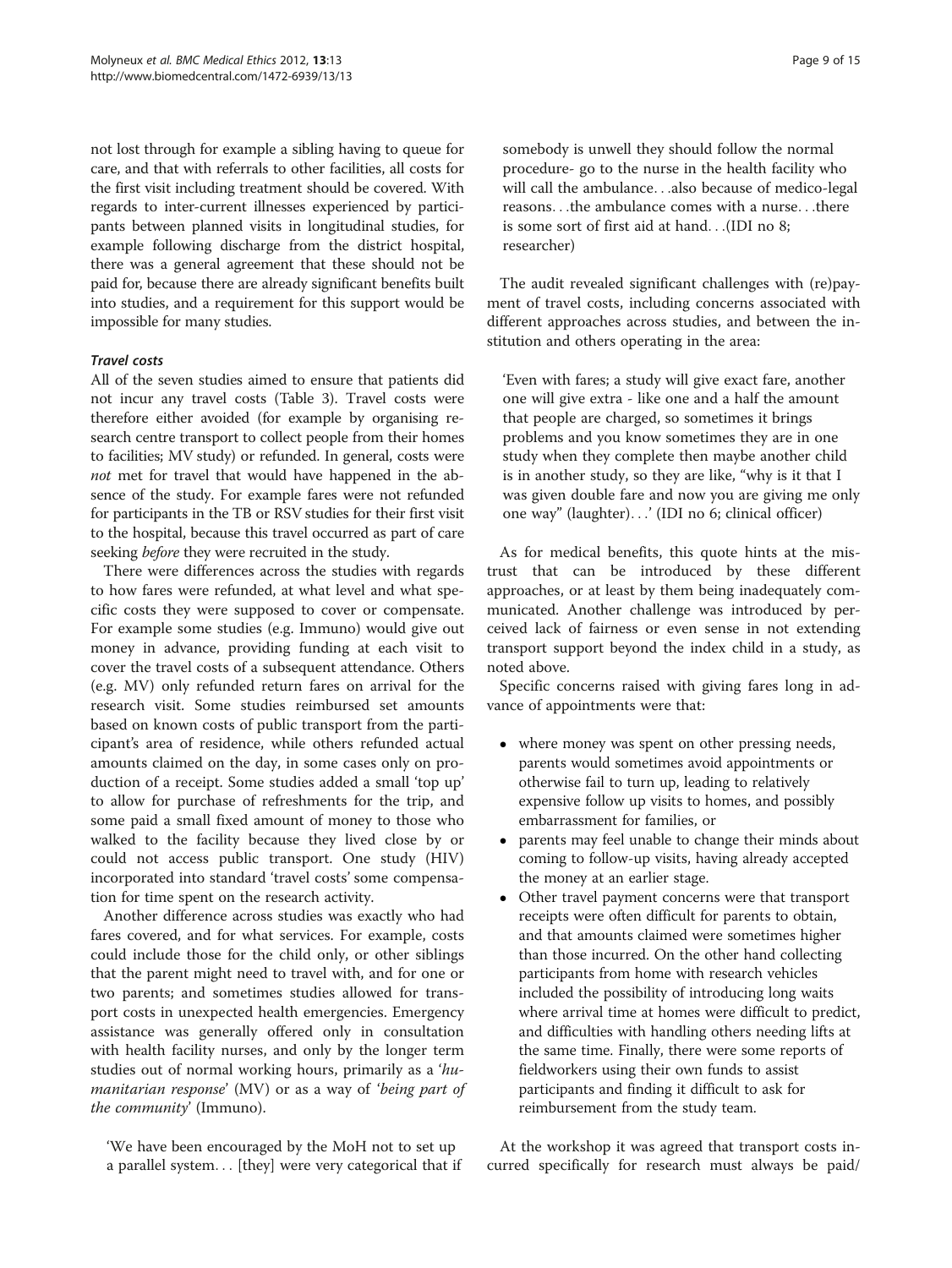not lost through for example a sibling having to queue for care, and that with referrals to other facilities, all costs for the first visit including treatment should be covered. With regards to inter-current illnesses experienced by participants between planned visits in longitudinal studies, for example following discharge from the district hospital, there was a general agreement that these should not be paid for, because there are already significant benefits built into studies, and a requirement for this support would be impossible for many studies.

#### Travel costs

All of the seven studies aimed to ensure that patients did not incur any travel costs (Table [3](#page-6-0)). Travel costs were therefore either avoided (for example by organising research centre transport to collect people from their homes to facilities; MV study) or refunded. In general, costs were not met for travel that would have happened in the absence of the study. For example fares were not refunded for participants in the TB or RSV studies for their first visit to the hospital, because this travel occurred as part of care seeking *before* they were recruited in the study.

There were differences across the studies with regards to how fares were refunded, at what level and what specific costs they were supposed to cover or compensate. For example some studies (e.g. Immuno) would give out money in advance, providing funding at each visit to cover the travel costs of a subsequent attendance. Others (e.g. MV) only refunded return fares on arrival for the research visit. Some studies reimbursed set amounts based on known costs of public transport from the participant's area of residence, while others refunded actual amounts claimed on the day, in some cases only on production of a receipt. Some studies added a small 'top up' to allow for purchase of refreshments for the trip, and some paid a small fixed amount of money to those who walked to the facility because they lived close by or could not access public transport. One study (HIV) incorporated into standard 'travel costs' some compensation for time spent on the research activity.

Another difference across studies was exactly who had fares covered, and for what services. For example, costs could include those for the child only, or other siblings that the parent might need to travel with, and for one or two parents; and sometimes studies allowed for transport costs in unexpected health emergencies. Emergency assistance was generally offered only in consultation with health facility nurses, and only by the longer term studies out of normal working hours, primarily as a 'humanitarian response' (MV) or as a way of 'being part of the community' (Immuno).

'We have been encouraged by the MoH not to set up a parallel system... [they] were very categorical that if somebody is unwell they should follow the normal procedure- go to the nurse in the health facility who will call the ambulance...also because of medico-legal reasons...the ambulance comes with a nurse...there is some sort of first aid at hand...(IDI no 8; researcher)

The audit revealed significant challenges with (re)payment of travel costs, including concerns associated with different approaches across studies, and between the institution and others operating in the area:

'Even with fares; a study will give exact fare, another one will give extra - like one and a half the amount that people are charged, so sometimes it brings problems and you know sometimes they are in one study when they complete then maybe another child is in another study, so they are like, "why is it that I was given double fare and now you are giving me only one way" (laughter)...' (IDI no 6; clinical officer)

As for medical benefits, this quote hints at the mistrust that can be introduced by these different approaches, or at least by them being inadequately communicated. Another challenge was introduced by perceived lack of fairness or even sense in not extending transport support beyond the index child in a study, as noted above.

Specific concerns raised with giving fares long in advance of appointments were that:

- where money was spent on other pressing needs, parents would sometimes avoid appointments or otherwise fail to turn up, leading to relatively expensive follow up visits to homes, and possibly embarrassment for families, or
- parents may feel unable to change their minds about coming to follow-up visits, having already accepted the money at an earlier stage.
- Other travel payment concerns were that transport receipts were often difficult for parents to obtain, and that amounts claimed were sometimes higher than those incurred. On the other hand collecting participants from home with research vehicles included the possibility of introducing long waits where arrival time at homes were difficult to predict, and difficulties with handling others needing lifts at the same time. Finally, there were some reports of fieldworkers using their own funds to assist participants and finding it difficult to ask for reimbursement from the study team.

At the workshop it was agreed that transport costs incurred specifically for research must always be paid/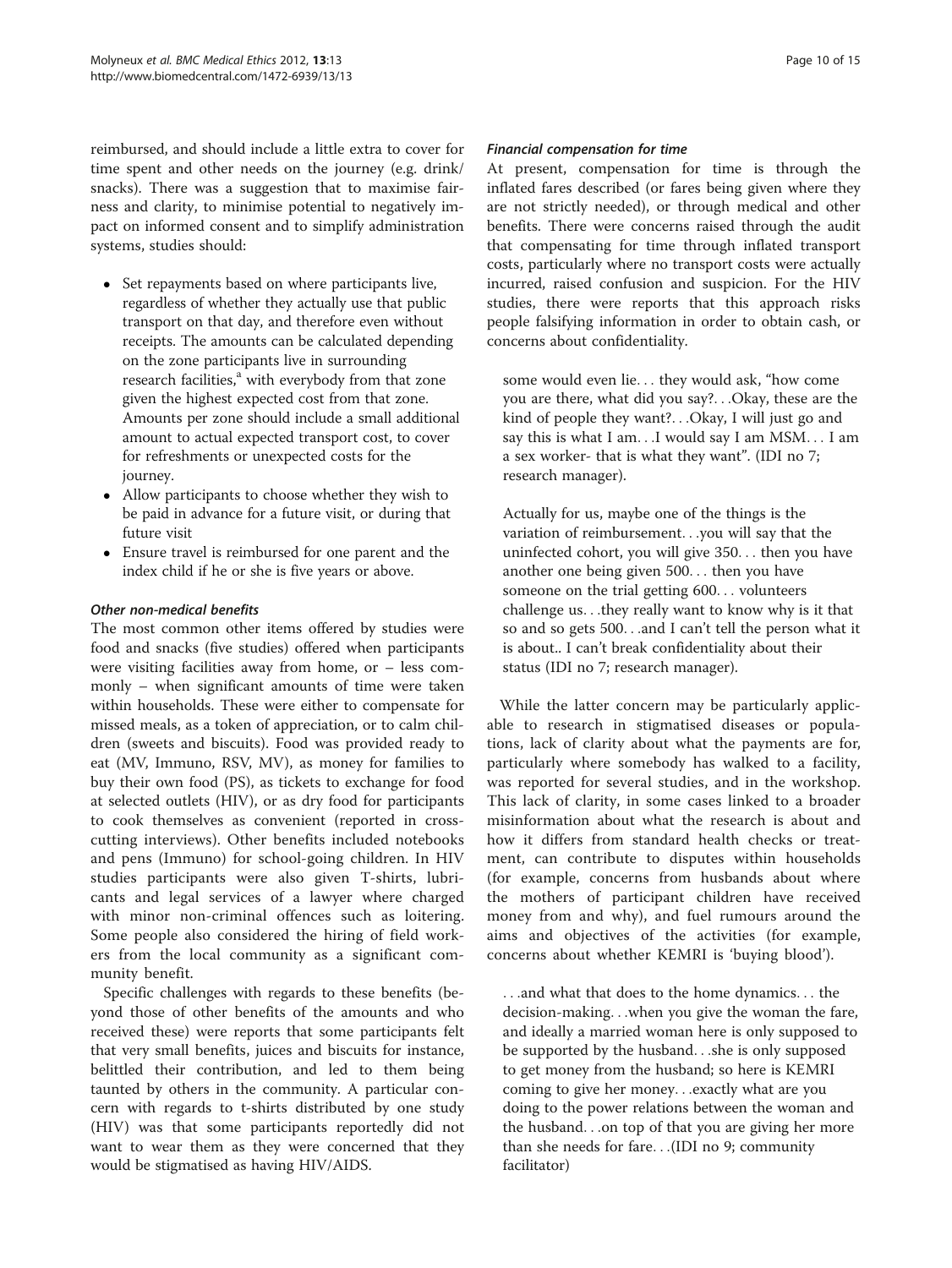reimbursed, and should include a little extra to cover for time spent and other needs on the journey (e.g. drink/ snacks). There was a suggestion that to maximise fairness and clarity, to minimise potential to negatively impact on informed consent and to simplify administration systems, studies should:

- Set repayments based on where participants live, regardless of whether they actually use that public transport on that day, and therefore even without receipts. The amounts can be calculated depending on the zone participants live in surrounding research facilities,<sup>a</sup> with everybody from that zone given the highest expected cost from that zone. Amounts per zone should include a small additional amount to actual expected transport cost, to cover for refreshments or unexpected costs for the journey.
- Allow participants to choose whether they wish to be paid in advance for a future visit, or during that future visit
- Ensure travel is reimbursed for one parent and the index child if he or she is five years or above.

#### Other non-medical benefits

The most common other items offered by studies were food and snacks (five studies) offered when participants were visiting facilities away from home, or – less commonly – when significant amounts of time were taken within households. These were either to compensate for missed meals, as a token of appreciation, or to calm children (sweets and biscuits). Food was provided ready to eat (MV, Immuno, RSV, MV), as money for families to buy their own food (PS), as tickets to exchange for food at selected outlets (HIV), or as dry food for participants to cook themselves as convenient (reported in crosscutting interviews). Other benefits included notebooks and pens (Immuno) for school-going children. In HIV studies participants were also given T-shirts, lubricants and legal services of a lawyer where charged with minor non-criminal offences such as loitering. Some people also considered the hiring of field workers from the local community as a significant community benefit.

Specific challenges with regards to these benefits (beyond those of other benefits of the amounts and who received these) were reports that some participants felt that very small benefits, juices and biscuits for instance, belittled their contribution, and led to them being taunted by others in the community. A particular concern with regards to t-shirts distributed by one study (HIV) was that some participants reportedly did not want to wear them as they were concerned that they would be stigmatised as having HIV/AIDS.

#### Financial compensation for time

At present, compensation for time is through the inflated fares described (or fares being given where they are not strictly needed), or through medical and other benefits. There were concerns raised through the audit that compensating for time through inflated transport costs, particularly where no transport costs were actually incurred, raised confusion and suspicion. For the HIV studies, there were reports that this approach risks people falsifying information in order to obtain cash, or concerns about confidentiality.

some would even lie... they would ask, "how come you are there, what did you say?...Okay, these are the kind of people they want?...Okay, I will just go and say this is what I am...I would say I am MSM... I am a sex worker- that is what they want". (IDI no 7; research manager).

Actually for us, maybe one of the things is the variation of reimbursement...you will say that the uninfected cohort, you will give 350... then you have another one being given 500... then you have someone on the trial getting 600... volunteers challenge us...they really want to know why is it that so and so gets 500...and I can't tell the person what it is about.. I can't break confidentiality about their status (IDI no 7; research manager).

While the latter concern may be particularly applicable to research in stigmatised diseases or populations, lack of clarity about what the payments are for, particularly where somebody has walked to a facility, was reported for several studies, and in the workshop. This lack of clarity, in some cases linked to a broader misinformation about what the research is about and how it differs from standard health checks or treatment, can contribute to disputes within households (for example, concerns from husbands about where the mothers of participant children have received money from and why), and fuel rumours around the aims and objectives of the activities (for example, concerns about whether KEMRI is 'buying blood').

...and what that does to the home dynamics... the decision-making...when you give the woman the fare, and ideally a married woman here is only supposed to be supported by the husband...she is only supposed to get money from the husband; so here is KEMRI coming to give her money...exactly what are you doing to the power relations between the woman and the husband...on top of that you are giving her more than she needs for fare...(IDI no 9; community facilitator)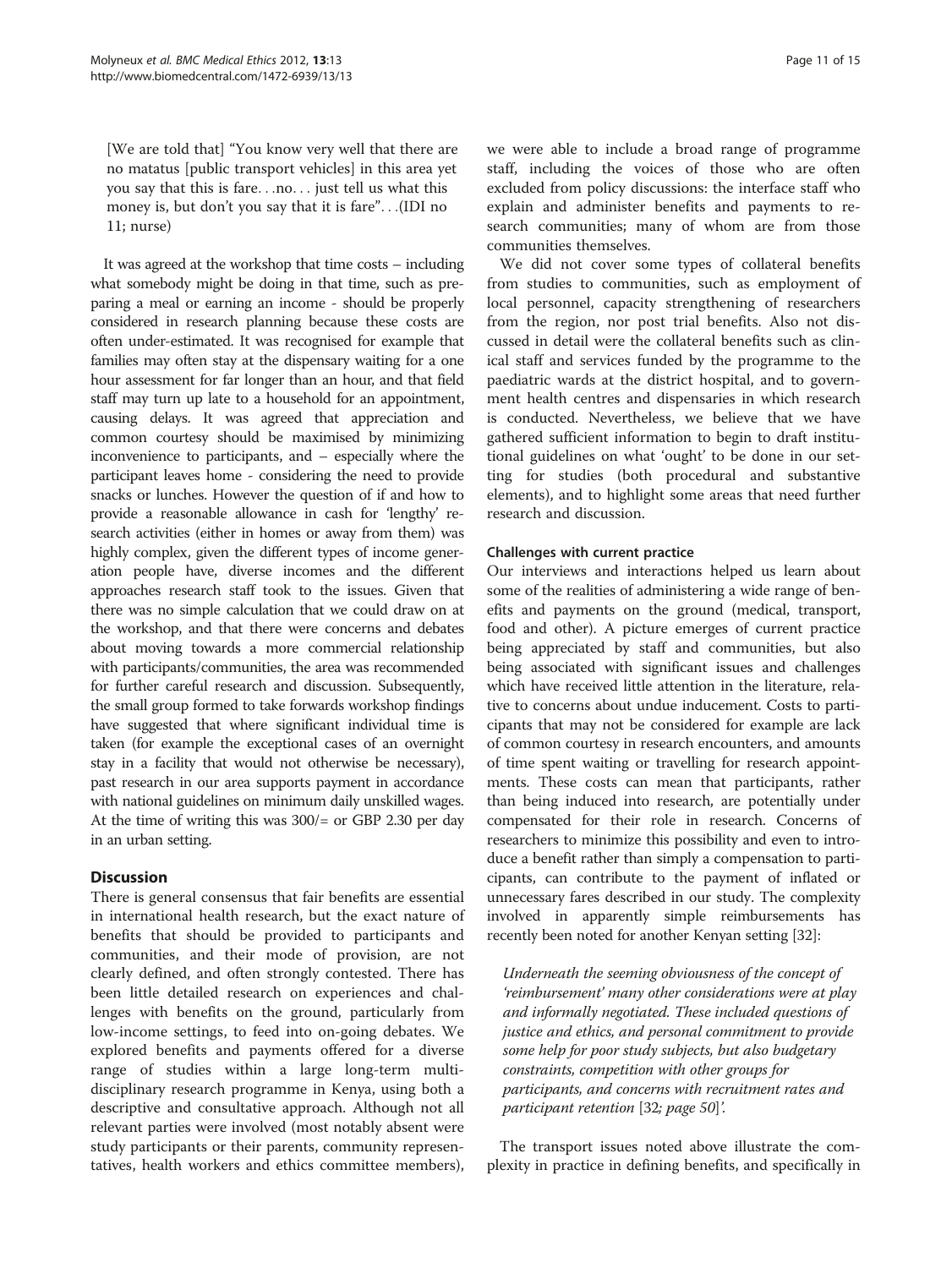[We are told that] "You know very well that there are no matatus [public transport vehicles] in this area yet you say that this is fare...no... just tell us what this money is, but don't you say that it is fare"...(IDI no 11; nurse)

It was agreed at the workshop that time costs – including what somebody might be doing in that time, such as preparing a meal or earning an income - should be properly considered in research planning because these costs are often under-estimated. It was recognised for example that families may often stay at the dispensary waiting for a one hour assessment for far longer than an hour, and that field staff may turn up late to a household for an appointment, causing delays. It was agreed that appreciation and common courtesy should be maximised by minimizing inconvenience to participants, and – especially where the participant leaves home - considering the need to provide snacks or lunches. However the question of if and how to provide a reasonable allowance in cash for 'lengthy' research activities (either in homes or away from them) was highly complex, given the different types of income generation people have, diverse incomes and the different approaches research staff took to the issues. Given that there was no simple calculation that we could draw on at the workshop, and that there were concerns and debates about moving towards a more commercial relationship with participants/communities, the area was recommended for further careful research and discussion. Subsequently, the small group formed to take forwards workshop findings have suggested that where significant individual time is taken (for example the exceptional cases of an overnight stay in a facility that would not otherwise be necessary), past research in our area supports payment in accordance with national guidelines on minimum daily unskilled wages. At the time of writing this was 300/= or GBP 2.30 per day in an urban setting.

## **Discussion**

There is general consensus that fair benefits are essential in international health research, but the exact nature of benefits that should be provided to participants and communities, and their mode of provision, are not clearly defined, and often strongly contested. There has been little detailed research on experiences and challenges with benefits on the ground, particularly from low-income settings, to feed into on-going debates. We explored benefits and payments offered for a diverse range of studies within a large long-term multidisciplinary research programme in Kenya, using both a descriptive and consultative approach. Although not all relevant parties were involved (most notably absent were study participants or their parents, community representatives, health workers and ethics committee members), we were able to include a broad range of programme staff, including the voices of those who are often excluded from policy discussions: the interface staff who explain and administer benefits and payments to research communities; many of whom are from those communities themselves.

We did not cover some types of collateral benefits from studies to communities, such as employment of local personnel, capacity strengthening of researchers from the region, nor post trial benefits. Also not discussed in detail were the collateral benefits such as clinical staff and services funded by the programme to the paediatric wards at the district hospital, and to government health centres and dispensaries in which research is conducted. Nevertheless, we believe that we have gathered sufficient information to begin to draft institutional guidelines on what 'ought' to be done in our setting for studies (both procedural and substantive elements), and to highlight some areas that need further research and discussion.

#### Challenges with current practice

Our interviews and interactions helped us learn about some of the realities of administering a wide range of benefits and payments on the ground (medical, transport, food and other). A picture emerges of current practice being appreciated by staff and communities, but also being associated with significant issues and challenges which have received little attention in the literature, relative to concerns about undue inducement. Costs to participants that may not be considered for example are lack of common courtesy in research encounters, and amounts of time spent waiting or travelling for research appointments. These costs can mean that participants, rather than being induced into research, are potentially under compensated for their role in research. Concerns of researchers to minimize this possibility and even to introduce a benefit rather than simply a compensation to participants, can contribute to the payment of inflated or unnecessary fares described in our study. The complexity involved in apparently simple reimbursements has recently been noted for another Kenyan setting [[32](#page-14-0)]:

Underneath the seeming obviousness of the concept of 'reimbursement' many other considerations were at play and informally negotiated. These included questions of justice and ethics, and personal commitment to provide some help for poor study subjects, but also budgetary constraints, competition with other groups for participants, and concerns with recruitment rates and participant retention [32; page 50]'.

The transport issues noted above illustrate the complexity in practice in defining benefits, and specifically in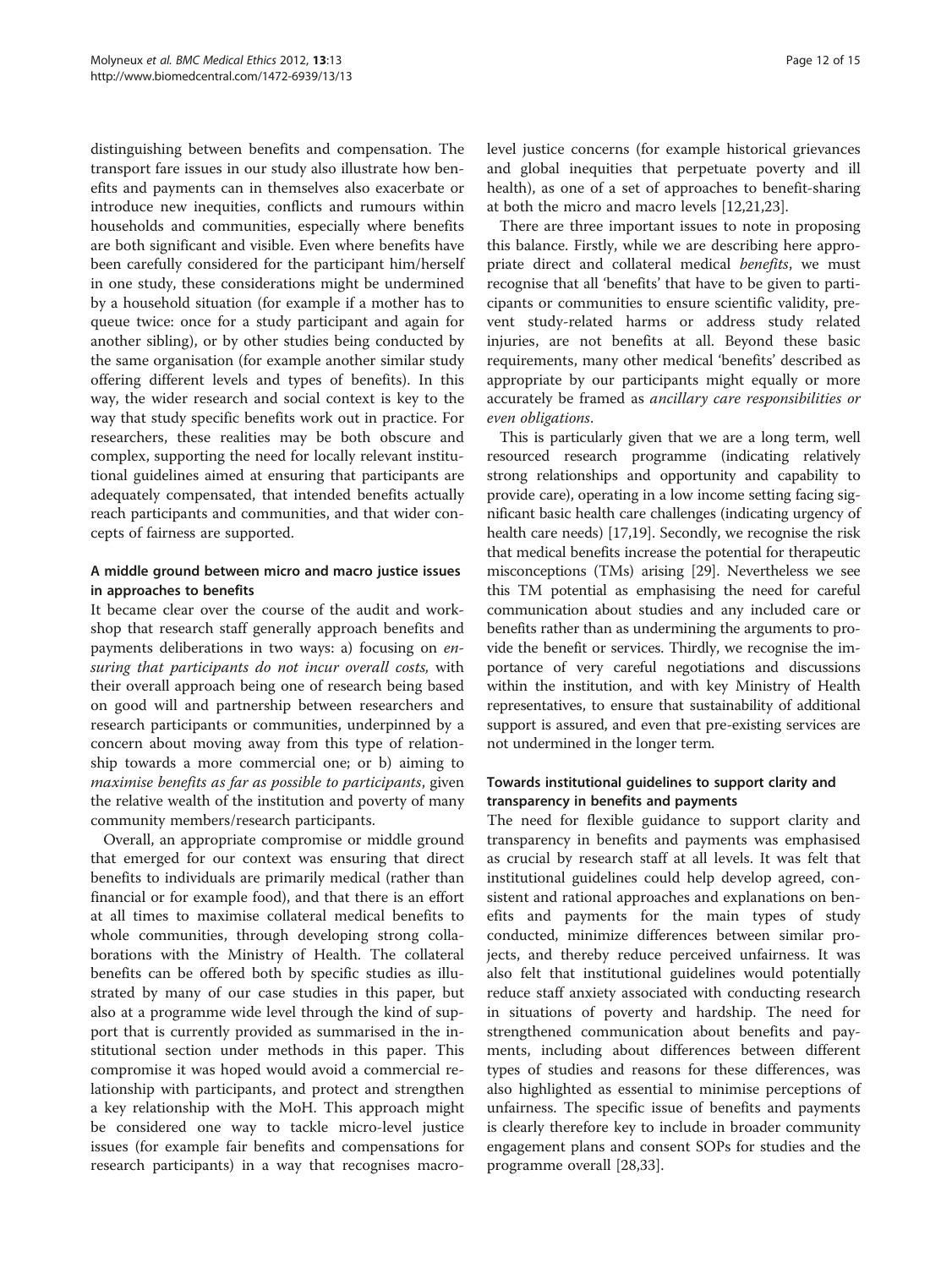distinguishing between benefits and compensation. The transport fare issues in our study also illustrate how benefits and payments can in themselves also exacerbate or introduce new inequities, conflicts and rumours within households and communities, especially where benefits are both significant and visible. Even where benefits have been carefully considered for the participant him/herself in one study, these considerations might be undermined by a household situation (for example if a mother has to queue twice: once for a study participant and again for another sibling), or by other studies being conducted by the same organisation (for example another similar study offering different levels and types of benefits). In this way, the wider research and social context is key to the way that study specific benefits work out in practice. For researchers, these realities may be both obscure and complex, supporting the need for locally relevant institutional guidelines aimed at ensuring that participants are adequately compensated, that intended benefits actually reach participants and communities, and that wider concepts of fairness are supported.

# A middle ground between micro and macro justice issues in approaches to benefits

It became clear over the course of the audit and workshop that research staff generally approach benefits and payments deliberations in two ways: a) focusing on ensuring that participants do not incur overall costs, with their overall approach being one of research being based on good will and partnership between researchers and research participants or communities, underpinned by a concern about moving away from this type of relationship towards a more commercial one; or b) aiming to maximise benefits as far as possible to participants, given the relative wealth of the institution and poverty of many community members/research participants.

Overall, an appropriate compromise or middle ground that emerged for our context was ensuring that direct benefits to individuals are primarily medical (rather than financial or for example food), and that there is an effort at all times to maximise collateral medical benefits to whole communities, through developing strong collaborations with the Ministry of Health. The collateral benefits can be offered both by specific studies as illustrated by many of our case studies in this paper, but also at a programme wide level through the kind of support that is currently provided as summarised in the institutional section under methods in this paper. This compromise it was hoped would avoid a commercial relationship with participants, and protect and strengthen a key relationship with the MoH. This approach might be considered one way to tackle micro-level justice issues (for example fair benefits and compensations for research participants) in a way that recognises macrolevel justice concerns (for example historical grievances and global inequities that perpetuate poverty and ill health), as one of a set of approaches to benefit-sharing at both the micro and macro levels [[12](#page-13-0),[21,23](#page-13-0)].

There are three important issues to note in proposing this balance. Firstly, while we are describing here appropriate direct and collateral medical *benefits*, we must recognise that all 'benefits' that have to be given to participants or communities to ensure scientific validity, prevent study-related harms or address study related injuries, are not benefits at all. Beyond these basic requirements, many other medical 'benefits' described as appropriate by our participants might equally or more accurately be framed as ancillary care responsibilities or even obligations.

This is particularly given that we are a long term, well resourced research programme (indicating relatively strong relationships and opportunity and capability to provide care), operating in a low income setting facing significant basic health care challenges (indicating urgency of health care needs) [[17,19\]](#page-13-0). Secondly, we recognise the risk that medical benefits increase the potential for therapeutic misconceptions (TMs) arising [[29](#page-13-0)]. Nevertheless we see this TM potential as emphasising the need for careful communication about studies and any included care or benefits rather than as undermining the arguments to provide the benefit or services. Thirdly, we recognise the importance of very careful negotiations and discussions within the institution, and with key Ministry of Health representatives, to ensure that sustainability of additional support is assured, and even that pre-existing services are not undermined in the longer term.

# Towards institutional guidelines to support clarity and transparency in benefits and payments

The need for flexible guidance to support clarity and transparency in benefits and payments was emphasised as crucial by research staff at all levels. It was felt that institutional guidelines could help develop agreed, consistent and rational approaches and explanations on benefits and payments for the main types of study conducted, minimize differences between similar projects, and thereby reduce perceived unfairness. It was also felt that institutional guidelines would potentially reduce staff anxiety associated with conducting research in situations of poverty and hardship. The need for strengthened communication about benefits and payments, including about differences between different types of studies and reasons for these differences, was also highlighted as essential to minimise perceptions of unfairness. The specific issue of benefits and payments is clearly therefore key to include in broader community engagement plans and consent SOPs for studies and the programme overall [[28](#page-13-0)[,33](#page-14-0)].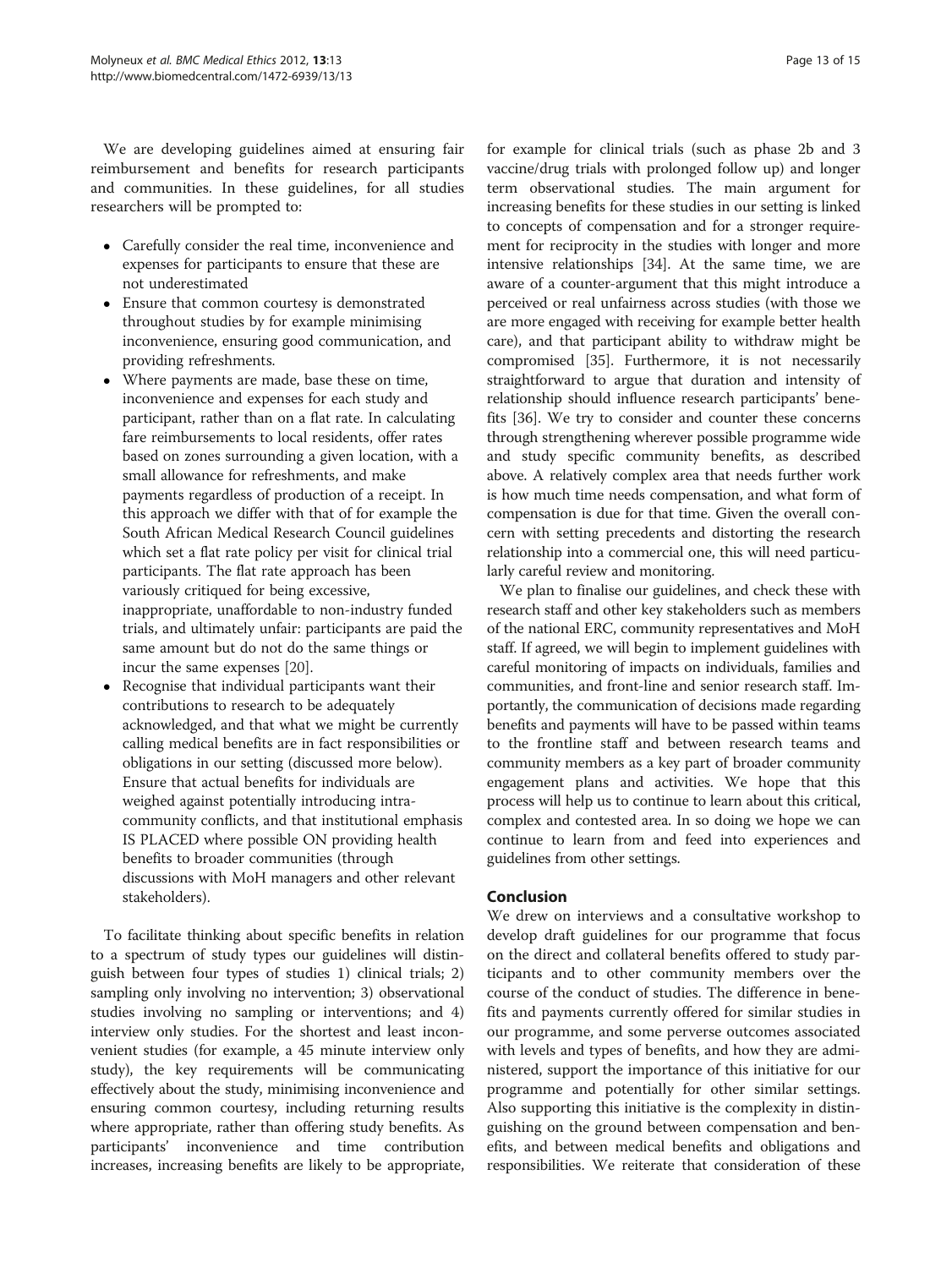We are developing guidelines aimed at ensuring fair reimbursement and benefits for research participants and communities. In these guidelines, for all studies researchers will be prompted to:

- Carefully consider the real time, inconvenience and expenses for participants to ensure that these are not underestimated
- Ensure that common courtesy is demonstrated throughout studies by for example minimising inconvenience, ensuring good communication, and providing refreshments.
- Where payments are made, base these on time, inconvenience and expenses for each study and participant, rather than on a flat rate. In calculating fare reimbursements to local residents, offer rates based on zones surrounding a given location, with a small allowance for refreshments, and make payments regardless of production of a receipt. In this approach we differ with that of for example the South African Medical Research Council guidelines which set a flat rate policy per visit for clinical trial participants. The flat rate approach has been variously critiqued for being excessive, inappropriate, unaffordable to non-industry funded trials, and ultimately unfair: participants are paid the same amount but do not do the same things or incur the same expenses [\[20\]](#page-13-0).
- Recognise that individual participants want their contributions to research to be adequately acknowledged, and that what we might be currently calling medical benefits are in fact responsibilities or obligations in our setting (discussed more below). Ensure that actual benefits for individuals are weighed against potentially introducing intracommunity conflicts, and that institutional emphasis IS PLACED where possible ON providing health benefits to broader communities (through discussions with MoH managers and other relevant stakeholders).

To facilitate thinking about specific benefits in relation to a spectrum of study types our guidelines will distinguish between four types of studies 1) clinical trials; 2) sampling only involving no intervention; 3) observational studies involving no sampling or interventions; and 4) interview only studies. For the shortest and least inconvenient studies (for example, a 45 minute interview only study), the key requirements will be communicating effectively about the study, minimising inconvenience and ensuring common courtesy, including returning results where appropriate, rather than offering study benefits. As participants' inconvenience and time contribution increases, increasing benefits are likely to be appropriate,

for example for clinical trials (such as phase 2b and 3 vaccine/drug trials with prolonged follow up) and longer term observational studies. The main argument for increasing benefits for these studies in our setting is linked to concepts of compensation and for a stronger requirement for reciprocity in the studies with longer and more intensive relationships [[34](#page-14-0)]. At the same time, we are aware of a counter-argument that this might introduce a perceived or real unfairness across studies (with those we are more engaged with receiving for example better health care), and that participant ability to withdraw might be compromised [\[35\]](#page-14-0). Furthermore, it is not necessarily straightforward to argue that duration and intensity of relationship should influence research participants' benefits [[36](#page-14-0)]. We try to consider and counter these concerns through strengthening wherever possible programme wide and study specific community benefits, as described above. A relatively complex area that needs further work is how much time needs compensation, and what form of compensation is due for that time. Given the overall concern with setting precedents and distorting the research relationship into a commercial one, this will need particularly careful review and monitoring.

We plan to finalise our guidelines, and check these with research staff and other key stakeholders such as members of the national ERC, community representatives and MoH staff. If agreed, we will begin to implement guidelines with careful monitoring of impacts on individuals, families and communities, and front-line and senior research staff. Importantly, the communication of decisions made regarding benefits and payments will have to be passed within teams to the frontline staff and between research teams and community members as a key part of broader community engagement plans and activities. We hope that this process will help us to continue to learn about this critical, complex and contested area. In so doing we hope we can continue to learn from and feed into experiences and guidelines from other settings.

# Conclusion

We drew on interviews and a consultative workshop to develop draft guidelines for our programme that focus on the direct and collateral benefits offered to study participants and to other community members over the course of the conduct of studies. The difference in benefits and payments currently offered for similar studies in our programme, and some perverse outcomes associated with levels and types of benefits, and how they are administered, support the importance of this initiative for our programme and potentially for other similar settings. Also supporting this initiative is the complexity in distinguishing on the ground between compensation and benefits, and between medical benefits and obligations and responsibilities. We reiterate that consideration of these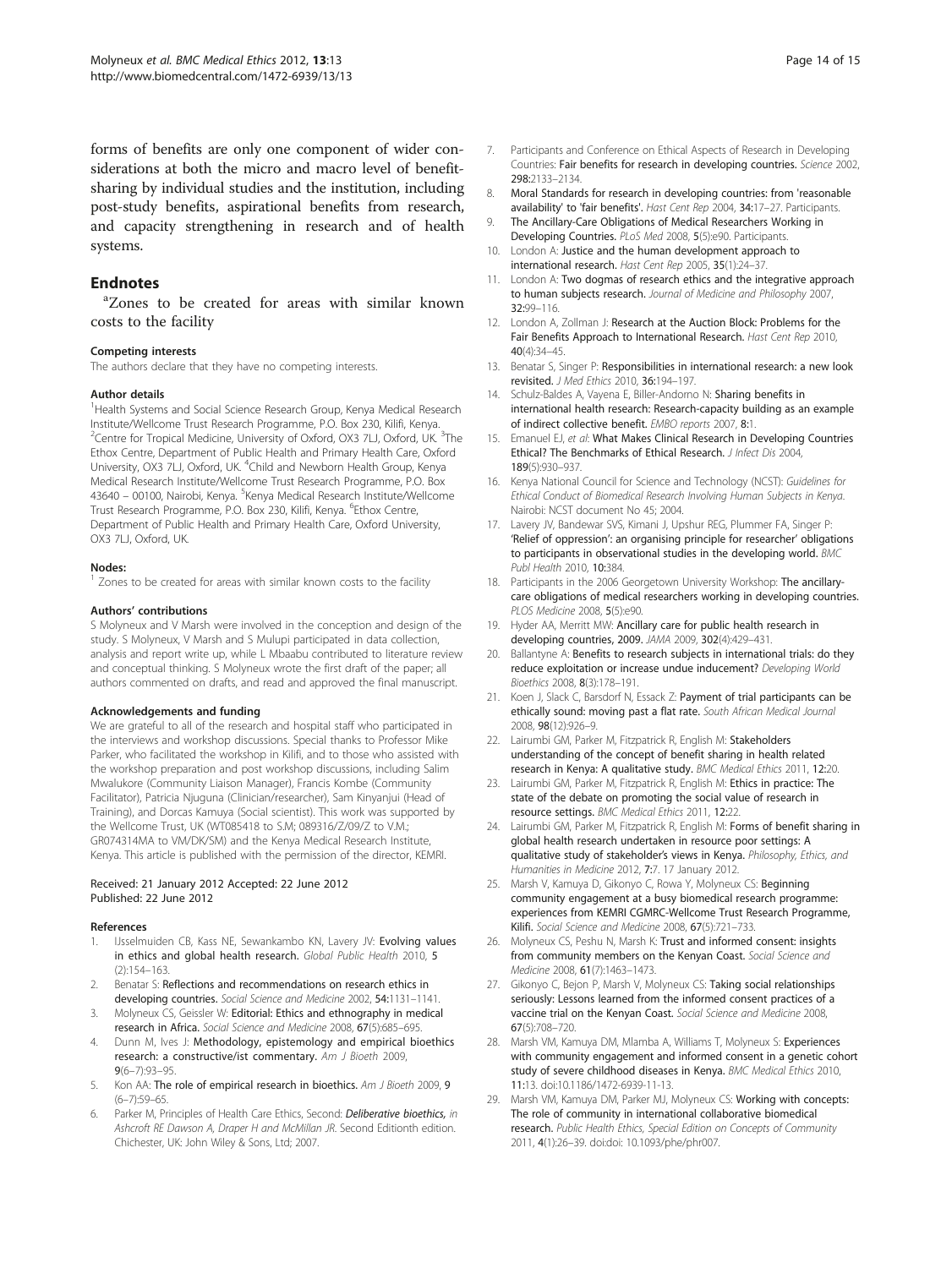<span id="page-13-0"></span>forms of benefits are only one component of wider considerations at both the micro and macro level of benefitsharing by individual studies and the institution, including post-study benefits, aspirational benefits from research, and capacity strengthening in research and of health systems.

#### **Endnotes**

Zones to be created for areas with similar known costs to the facility

#### Competing interests

The authors declare that they have no competing interests.

#### Author details

<sup>1</sup>Health Systems and Social Science Research Group, Kenya Medical Research Institute/Wellcome Trust Research Programme, P.O. Box 230, Kilifi, Kenya. <sup>2</sup>Centre for Tropical Medicine, University of Oxford, OX3 7LJ, Oxford, UK. <sup>3</sup>The Ethox Centre, Department of Public Health and Primary Health Care, Oxford University, OX3 7LJ, Oxford, UK. <sup>4</sup>Child and Newborn Health Group, Kenya Medical Research Institute/Wellcome Trust Research Programme, P.O. Box 43640 – 00100, Nairobi, Kenya. <sup>5</sup>Kenya Medical Research Institute/Wellcome Trust Research Programme, P.O. Box 230, Kilifi, Kenya. <sup>6</sup>Ethox Centre, Department of Public Health and Primary Health Care, Oxford University, OX3 7LJ, Oxford, UK.

#### Nodes:

<sup>1</sup> Zones to be created for areas with similar known costs to the facility

#### Authors' contributions

S Molyneux and V Marsh were involved in the conception and design of the study. S Molyneux, V Marsh and S Mulupi participated in data collection, analysis and report write up, while L Mbaabu contributed to literature review and conceptual thinking. S Molyneux wrote the first draft of the paper; all authors commented on drafts, and read and approved the final manuscript.

#### Acknowledgements and funding

We are grateful to all of the research and hospital staff who participated in the interviews and workshop discussions. Special thanks to Professor Mike Parker, who facilitated the workshop in Kilifi, and to those who assisted with the workshop preparation and post workshop discussions, including Salim Mwalukore (Community Liaison Manager), Francis Kombe (Community Facilitator), Patricia Njuguna (Clinician/researcher), Sam Kinyanjui (Head of Training), and Dorcas Kamuya (Social scientist). This work was supported by the Wellcome Trust, UK (WT085418 to S.M; 089316/Z/09/Z to V.M.; GR074314MA to VM/DK/SM) and the Kenya Medical Research Institute, Kenya. This article is published with the permission of the director, KEMRI.

#### Received: 21 January 2012 Accepted: 22 June 2012 Published: 22 June 2012

#### References

- IJsselmuiden CB, Kass NE, Sewankambo KN, Lavery JV: Evolving values in ethics and global health research. Global Public Health 2010, 5 (2):154–163.
- Benatar S: Reflections and recommendations on research ethics in developing countries. Social Science and Medicine 2002, 54:1131-1141.
- Molyneux CS, Geissler W: Editorial: Ethics and ethnography in medical research in Africa. Social Science and Medicine 2008, 67(5):685–695.
- 4. Dunn M, Ives J: Methodology, epistemology and empirical bioethics research: a constructive/ist commentary. Am J Bioeth 2009, 9(6–7):93–95.
- 5. Kon AA: The role of empirical research in bioethics. Am J Bioeth 2009, 9 (6–7):59–65.
- Parker M, Principles of Health Care Ethics, Second: Deliberative bioethics, in Ashcroft RE Dawson A, Draper H and McMillan JR. Second Editionth edition. Chichester, UK: John Wiley & Sons, Ltd; 2007.
- 7. Participants and Conference on Ethical Aspects of Research in Developing Countries: Fair benefits for research in developing countries. Science 2002, 298:2133–2134.
- 8. Moral Standards for research in developing countries: from 'reasonable availability' to 'fair benefits'. Hast Cent Rep 2004, 34:17–27. Participants.
- 9. The Ancillary-Care Obligations of Medical Researchers Working in Developing Countries. PLoS Med 2008, 5(5):e90. Participants
- 10. London A: Justice and the human development approach to international research. Hast Cent Rep 2005, 35(1):24–37.
- 11. London A: Two dogmas of research ethics and the integrative approach to human subjects research. Journal of Medicine and Philosophy 2007, 32:99–116.
- 12. London A, Zollman J: Research at the Auction Block: Problems for the Fair Benefits Approach to International Research. Hast Cent Rep 2010, 40(4):34–45.
- 13. Benatar S, Singer P: Responsibilities in international research: a new look revisited. J Med Ethics 2010, 36:194–197.
- 14. Schulz-Baldes A, Vayena E, Biller-Andorno N: Sharing benefits in international health research: Research-capacity building as an example of indirect collective benefit. EMBO reports 2007, 8:1.
- 15. Emanuel EJ, et al: What Makes Clinical Research in Developing Countries Ethical? The Benchmarks of Ethical Research. J Infect Dis 2004, 189(5):930–937.
- 16. Kenya National Council for Science and Technology (NCST): Guidelines for Ethical Conduct of Biomedical Research Involving Human Subjects in Kenya. Nairobi: NCST document No 45; 2004.
- 17. Lavery JV, Bandewar SVS, Kimani J, Upshur REG, Plummer FA, Singer P: 'Relief of oppression': an organising principle for researcher' obligations to participants in observational studies in the developing world. BMC Publ Health 2010, 10:384.
- 18. Participants in the 2006 Georgetown University Workshop: The ancillarycare obligations of medical researchers working in developing countries. PLOS Medicine 2008, 5(5):e90.
- 19. Hyder AA, Merritt MW: Ancillary care for public health research in developing countries, 2009. JAMA 2009, 302(4):429–431.
- 20. Ballantyne A: Benefits to research subjects in international trials: do they reduce exploitation or increase undue inducement? Developing World Bioethics 2008, 8(3):178–191.
- 21. Koen J, Slack C, Barsdorf N, Essack Z: Payment of trial participants can be ethically sound: moving past a flat rate. South African Medical Journal 2008, 98(12):926–9.
- 22. Lairumbi GM, Parker M, Fitzpatrick R, English M: Stakeholders understanding of the concept of benefit sharing in health related research in Kenya: A qualitative study. BMC Medical Ethics 2011, 12:20.
- 23. Lairumbi GM, Parker M, Fitzpatrick R, English M: Ethics in practice: The state of the debate on promoting the social value of research in resource settings. BMC Medical Ethics 2011, 12:22.
- 24. Lairumbi GM, Parker M, Fitzpatrick R, English M: Forms of benefit sharing in global health research undertaken in resource poor settings: A qualitative study of stakeholder's views in Kenya. Philosophy, Ethics, and Humanities in Medicine 2012, 7:7. 17 January 2012.
- 25. Marsh V, Kamuya D, Gikonyo C, Rowa Y, Molyneux CS: Beginning community engagement at a busy biomedical research programme: experiences from KEMRI CGMRC-Wellcome Trust Research Programme, Kilifi. Social Science and Medicine 2008, 67(5):721–733.
- 26. Molyneux CS, Peshu N, Marsh K: Trust and informed consent: insights from community members on the Kenyan Coast. Social Science and Medicine 2008, 61(7):1463–1473.
- 27. Gikonyo C, Bejon P, Marsh V, Molyneux CS: Taking social relationships seriously: Lessons learned from the informed consent practices of a vaccine trial on the Kenyan Coast. Social Science and Medicine 2008, 67(5):708–720.
- 28. Marsh VM, Kamuya DM, Mlamba A, Williams T, Molyneux S: Experiences with community engagement and informed consent in a genetic cohort study of severe childhood diseases in Kenya. BMC Medical Ethics 2010, 11:13. doi:<10.1186/1472-6939-11-13>.
- 29. Marsh VM, Kamuya DM, Parker MJ, Molyneux CS: Working with concepts: The role of community in international collaborative biomedical research. Public Health Ethics, Special Edition on Concepts of Community 2011, 4(1):26–39. doi:[doi: 10.1093/phe/phr007.](doi: 10.1093/phe/phr007)